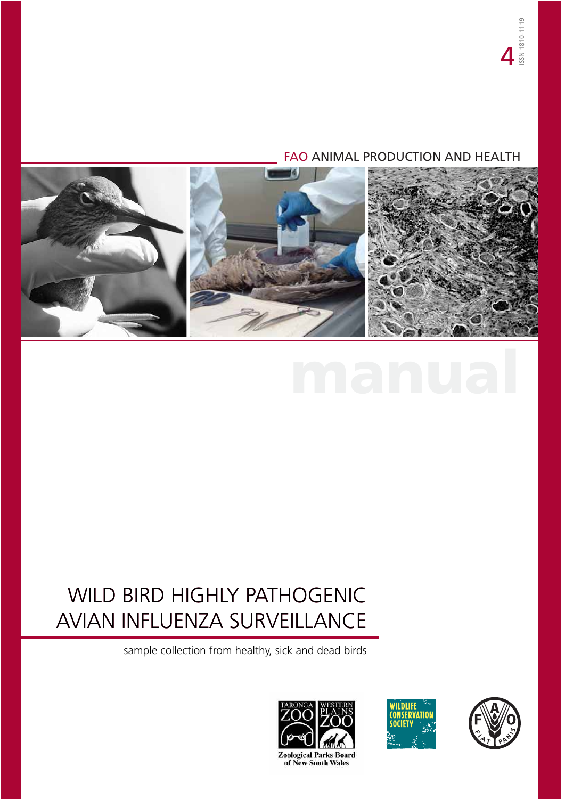### FAO ANIMAL PRODUCTION AND HEALTH



## WILD BIRD HIGHLY PATHOGENIC AVIAN INFLUENZA SURVEILLANCE

sample collection from healthy, sick and dead birds





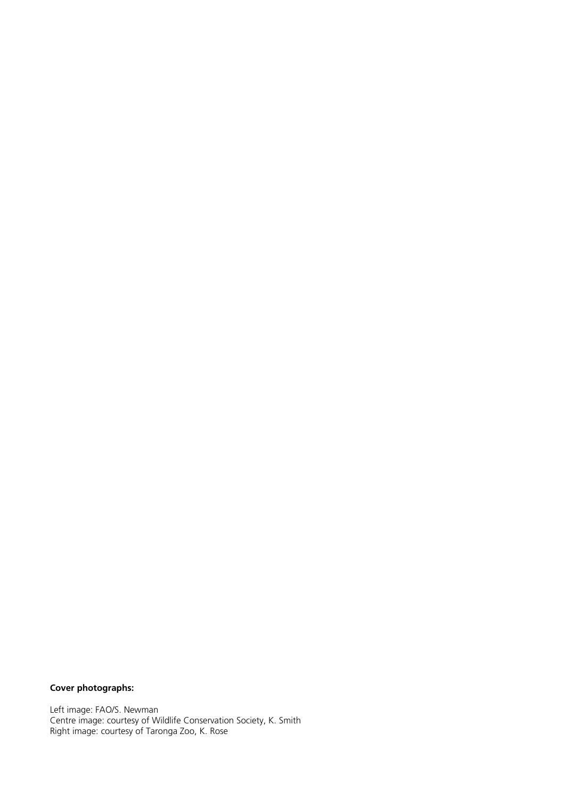### **Cover photographs:**

Left image: FAO/S. Newman Centre image: courtesy of Wildlife Conservation Society, K. Smith Right image: courtesy of Taronga Zoo, K. Rose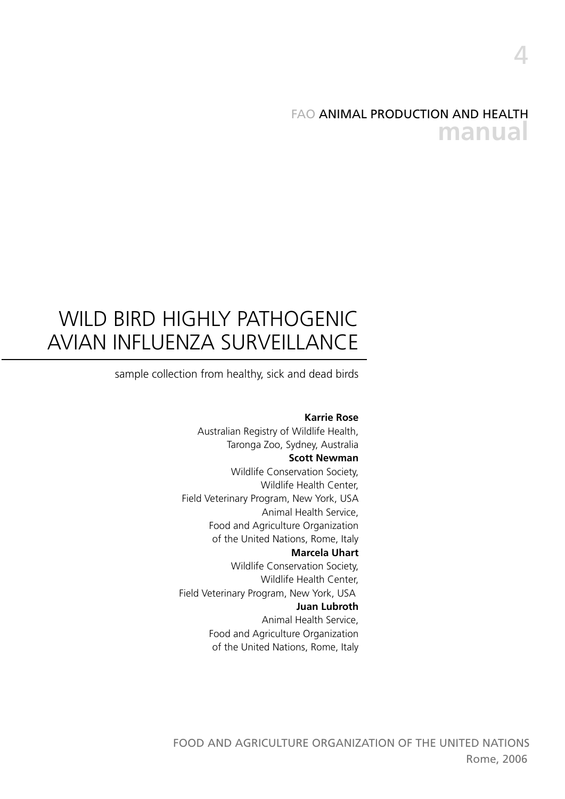### FAO ANIMAL PRODUCTION AND HEALTH **manual**

4

### WILD BIRD HIGHLY PATHOGENIC AVIAN INFLUENZA SURVEILLANCE

sample collection from healthy, sick and dead birds

### **Karrie Rose**

Australian Registry of Wildlife Health, Taronga Zoo, Sydney, Australia **Scott Newman** Wildlife Conservation Society, Wildlife Health Center, Field Veterinary Program, New York, USA Animal Health Service, Food and Agriculture Organization of the United Nations, Rome, Italy **Marcela Uhart** Wildlife Conservation Society, Wildlife Health Center, Field Veterinary Program, New York, USA **Juan Lubroth** Animal Health Service, Food and Agriculture Organization of the United Nations, Rome, Italy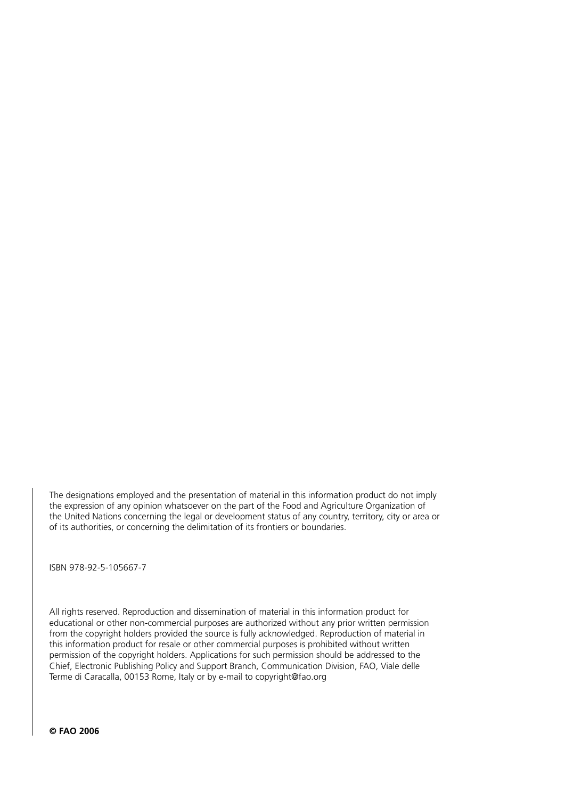The designations employed and the presentation of material in this information product do not imply the expression of any opinion whatsoever on the part of the Food and Agriculture Organization of the United Nations concerning the legal or development status of any country, territory, city or area or of its authorities, or concerning the delimitation of its frontiers or boundaries.

ISBN 978-92-5-105667-7

All rights reserved. Reproduction and dissemination of material in this information product for educational or other non-commercial purposes are authorized without any prior written permission from the copyright holders provided the source is fully acknowledged. Reproduction of material in this information product for resale or other commercial purposes is prohibited without written permission of the copyright holders. Applications for such permission should be addressed to the Chief, Electronic Publishing Policy and Support Branch, Communication Division, FAO, Viale delle Terme di Caracalla, 00153 Rome, Italy or by e-mail to copyright@fao.org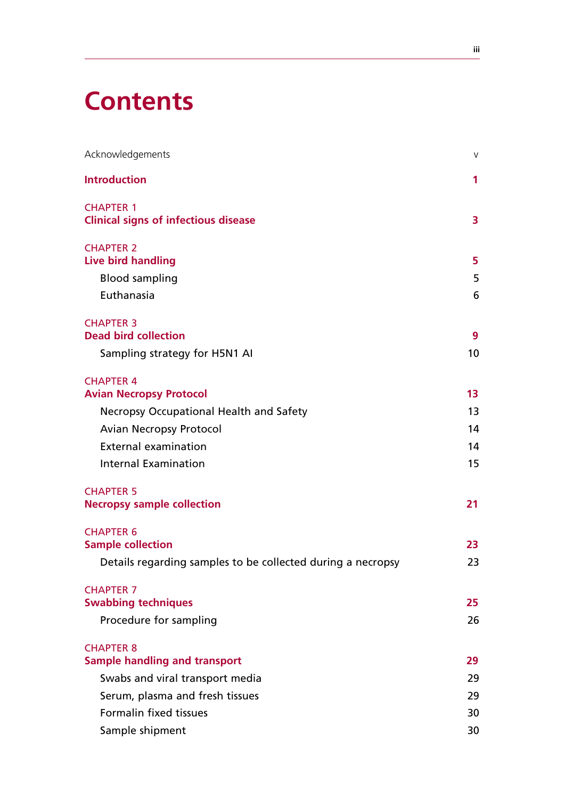# **Contents**

| Acknowledgements                                            | V  |
|-------------------------------------------------------------|----|
| <b>Introduction</b>                                         | 1  |
| <b>CHAPTER 1</b>                                            |    |
| <b>Clinical signs of infectious disease</b>                 | 3  |
| <b>CHAPTER 2</b>                                            |    |
| <b>Live bird handling</b>                                   | 5  |
| <b>Blood sampling</b>                                       | 5  |
| Euthanasia                                                  | 6  |
| <b>CHAPTER 3</b>                                            |    |
| <b>Dead bird collection</b>                                 | 9  |
| Sampling strategy for H5N1 AI                               | 10 |
| <b>CHAPTER 4</b>                                            |    |
| <b>Avian Necropsy Protocol</b>                              | 13 |
| Necropsy Occupational Health and Safety                     | 13 |
| <b>Avian Necropsy Protocol</b>                              | 14 |
| <b>External examination</b>                                 | 14 |
| <b>Internal Examination</b>                                 | 15 |
| <b>CHAPTER 5</b>                                            |    |
| <b>Necropsy sample collection</b>                           | 21 |
| <b>CHAPTER 6</b>                                            |    |
| <b>Sample collection</b>                                    | 23 |
| Details regarding samples to be collected during a necropsy | 23 |
| <b>CHAPTER 7</b>                                            |    |
| <b>Swabbing techniques</b>                                  | 25 |
| Procedure for sampling                                      | 26 |
| <b>CHAPTER 8</b>                                            |    |
| <b>Sample handling and transport</b>                        | 29 |
| Swabs and viral transport media                             | 29 |
| Serum, plasma and fresh tissues                             | 29 |
| Formalin fixed tissues                                      | 30 |
| Sample shipment                                             | 30 |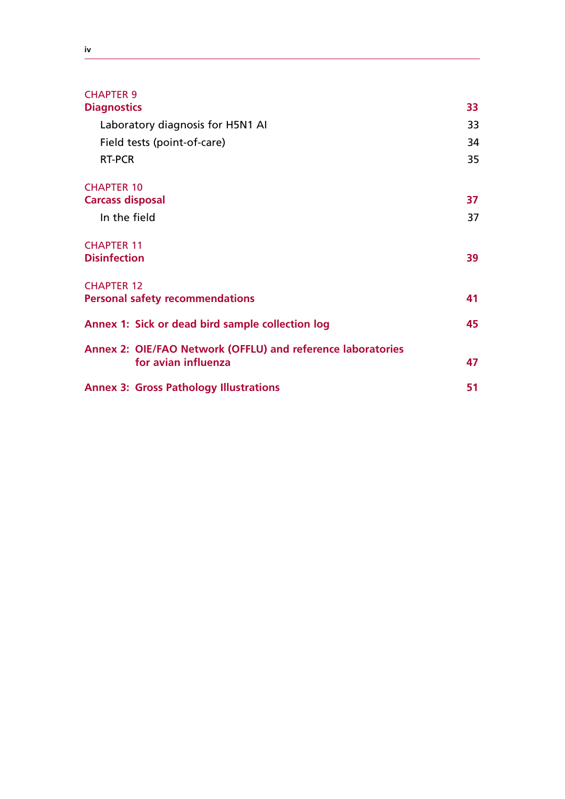| <b>CHAPTER 9</b>                 |    |
|----------------------------------|----|
| <b>Diagnostics</b>               | 33 |
| Laboratory diagnosis for H5N1 AI | 33 |
| Field tests (point-of-care)      | 34 |
| <b>RT-PCR</b>                    | 35 |
| <b>CHAPTER 10</b>                |    |
| <b>Carcass disposal</b>          | 37 |
| In the field                     | 37 |
| <b>CHAPTER 11</b>                |    |

### CHAPTER 11 **Disinfection 39**

| <b>CHAPTER 12</b><br><b>Personal safety recommendations</b>                        | 41 |
|------------------------------------------------------------------------------------|----|
| Annex 1: Sick or dead bird sample collection log                                   | 45 |
| Annex 2: OIE/FAO Network (OFFLU) and reference laboratories<br>for avian influenza | 47 |
| <b>Annex 3: Gross Pathology Illustrations</b>                                      | 51 |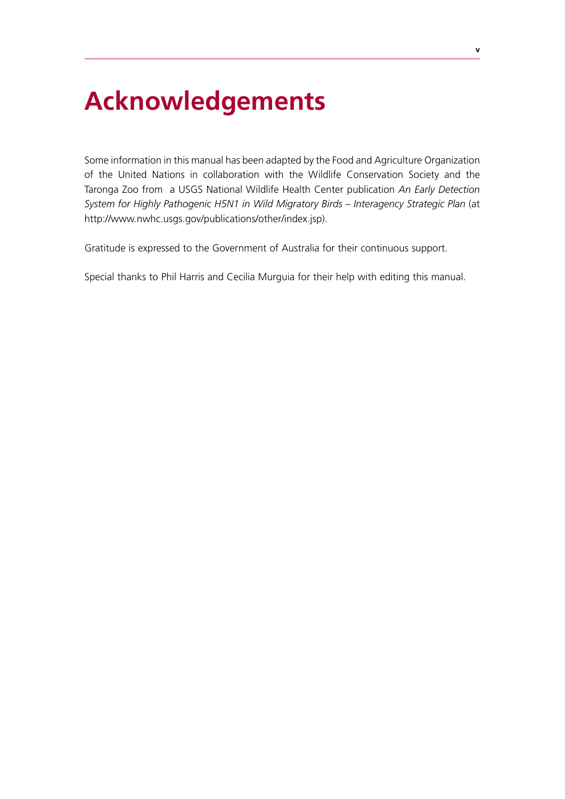# **Acknowledgements**

Some information in this manual has been adapted by the Food and Agriculture Organization of the United Nations in collaboration with the Wildlife Conservation Society and the Taronga Zoo from a USGS National Wildlife Health Center publication *An Early Detection System for Highly Pathogenic H5N1 in Wild Migratory Birds – Interagency Strategic Plan* (at http://www.nwhc.usgs.gov/publications/other/index.jsp).

Gratitude is expressed to the Government of Australia for their continuous support.

Special thanks to Phil Harris and Cecilia Murguia for their help with editing this manual.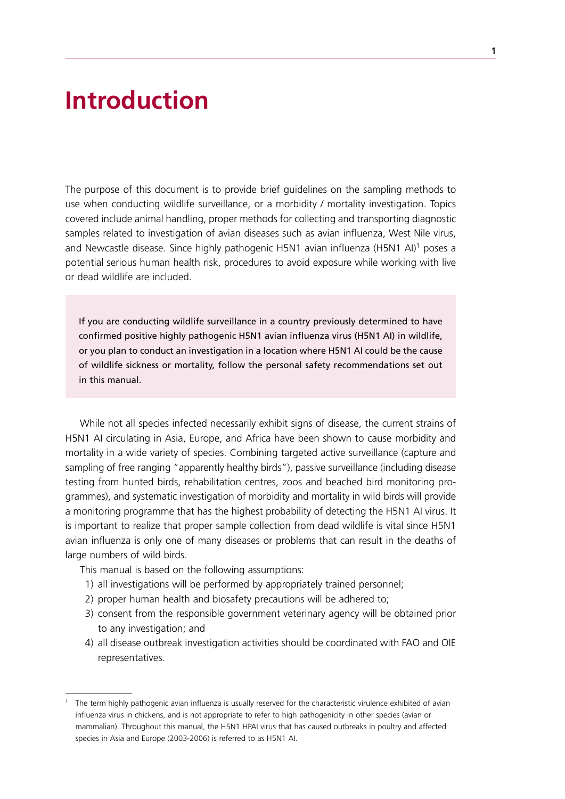### **Introduction**

The purpose of this document is to provide brief guidelines on the sampling methods to use when conducting wildlife surveillance, or a morbidity / mortality investigation. Topics covered include animal handling, proper methods for collecting and transporting diagnostic samples related to investigation of avian diseases such as avian influenza, West Nile virus, and Newcastle disease. Since highly pathogenic H5N1 avian influenza (H5N1 AI)1 poses a potential serious human health risk, procedures to avoid exposure while working with live or dead wildlife are included.

If you are conducting wildlife surveillance in a country previously determined to have confirmed positive highly pathogenic H5N1 avian influenza virus (H5N1 AI) in wildlife, or you plan to conduct an investigation in a location where H5N1 AI could be the cause of wildlife sickness or mortality, follow the personal safety recommendations set out in this manual.

While not all species infected necessarily exhibit signs of disease, the current strains of H5N1 AI circulating in Asia, Europe, and Africa have been shown to cause morbidity and mortality in a wide variety of species. Combining targeted active surveillance (capture and sampling of free ranging "apparently healthy birds"), passive surveillance (including disease testing from hunted birds, rehabilitation centres, zoos and beached bird monitoring programmes), and systematic investigation of morbidity and mortality in wild birds will provide a monitoring programme that has the highest probability of detecting the H5N1 AI virus. It is important to realize that proper sample collection from dead wildlife is vital since H5N1 avian influenza is only one of many diseases or problems that can result in the deaths of large numbers of wild birds.

This manual is based on the following assumptions:

- 1) all investigations will be performed by appropriately trained personnel;
- 2) proper human health and biosafety precautions will be adhered to;
- 3) consent from the responsible government veterinary agency will be obtained prior to any investigation; and
- 4) all disease outbreak investigation activities should be coordinated with FAO and OIE representatives.

<sup>1</sup> The term highly pathogenic avian influenza is usually reserved for the characteristic virulence exhibited of avian influenza virus in chickens, and is not appropriate to refer to high pathogenicity in other species (avian or mammalian). Throughout this manual, the H5N1 HPAI virus that has caused outbreaks in poultry and affected species in Asia and Europe (2003-2006) is referred to as H5N1 AI.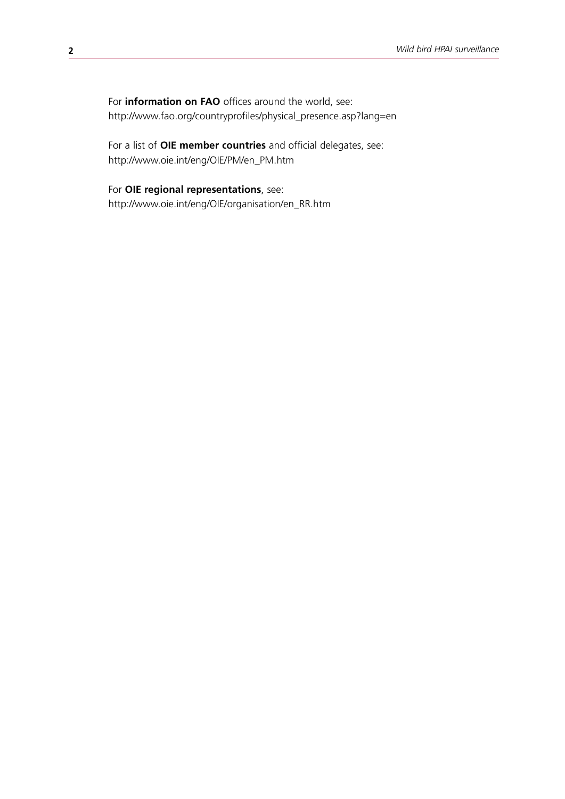For **information on FAO** offices around the world, see: http://www.fao.org/countryprofiles/physical\_presence.asp?lang=en

For a list of **OIE member countries** and official delegates, see: http://www.oie.int/eng/OIE/PM/en\_PM.htm

For **OIE regional representations**, see: http://www.oie.int/eng/OIE/organisation/en\_RR.htm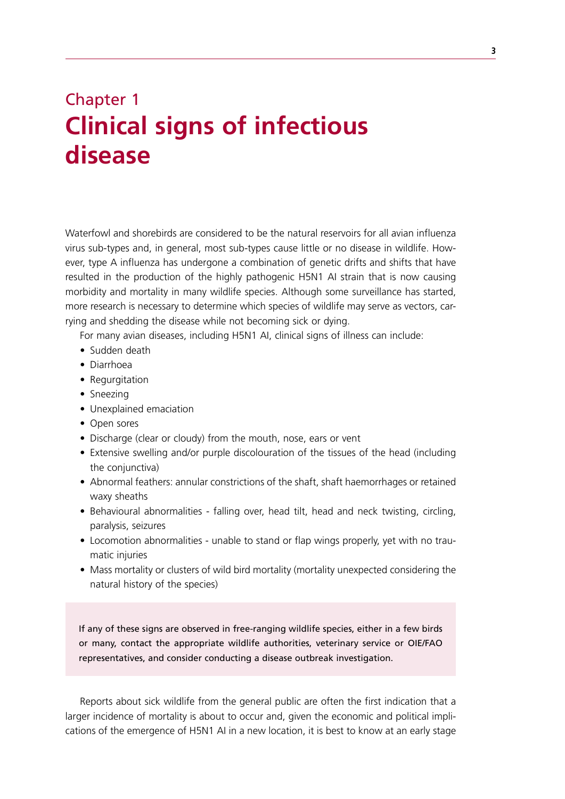### Chapter 1 **Clinical signs of infectious disease**

Waterfowl and shorebirds are considered to be the natural reservoirs for all avian influenza virus sub-types and, in general, most sub-types cause little or no disease in wildlife. However, type A influenza has undergone a combination of genetic drifts and shifts that have resulted in the production of the highly pathogenic H5N1 AI strain that is now causing morbidity and mortality in many wildlife species. Although some surveillance has started, more research is necessary to determine which species of wildlife may serve as vectors, carrying and shedding the disease while not becoming sick or dying.

For many avian diseases, including H5N1 AI, clinical signs of illness can include:

- Sudden death
- Diarrhoea
- Regurgitation
- Sneezing
- Unexplained emaciation
- Open sores
- Discharge (clear or cloudy) from the mouth, nose, ears or vent
- Extensive swelling and/or purple discolouration of the tissues of the head (including the conjunctiva)
- Abnormal feathers: annular constrictions of the shaft, shaft haemorrhages or retained waxy sheaths
- Behavioural abnormalities falling over, head tilt, head and neck twisting, circling, paralysis, seizures
- Locomotion abnormalities unable to stand or flap wings properly, yet with no traumatic injuries
- Mass mortality or clusters of wild bird mortality (mortality unexpected considering the natural history of the species)

If any of these signs are observed in free-ranging wildlife species, either in a few birds or many, contact the appropriate wildlife authorities, veterinary service or OIE/FAO representatives, and consider conducting a disease outbreak investigation.

Reports about sick wildlife from the general public are often the first indication that a larger incidence of mortality is about to occur and, given the economic and political implications of the emergence of H5N1 AI in a new location, it is best to know at an early stage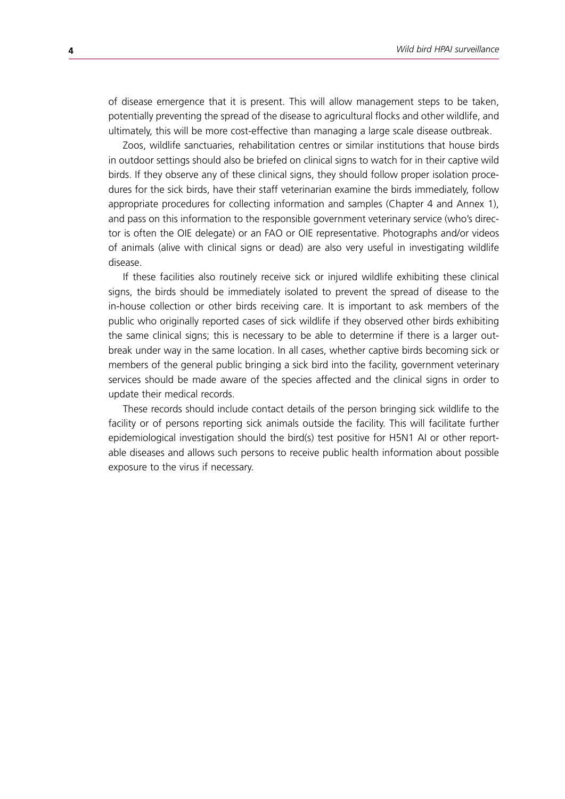of disease emergence that it is present. This will allow management steps to be taken, potentially preventing the spread of the disease to agricultural flocks and other wildlife, and ultimately, this will be more cost-effective than managing a large scale disease outbreak.

Zoos, wildlife sanctuaries, rehabilitation centres or similar institutions that house birds in outdoor settings should also be briefed on clinical signs to watch for in their captive wild birds. If they observe any of these clinical signs, they should follow proper isolation procedures for the sick birds, have their staff veterinarian examine the birds immediately, follow appropriate procedures for collecting information and samples (Chapter 4 and Annex 1), and pass on this information to the responsible government veterinary service (who's director is often the OIE delegate) or an FAO or OIE representative. Photographs and/or videos of animals (alive with clinical signs or dead) are also very useful in investigating wildlife disease.

If these facilities also routinely receive sick or injured wildlife exhibiting these clinical signs, the birds should be immediately isolated to prevent the spread of disease to the in-house collection or other birds receiving care. It is important to ask members of the public who originally reported cases of sick wildlife if they observed other birds exhibiting the same clinical signs; this is necessary to be able to determine if there is a larger outbreak under way in the same location. In all cases, whether captive birds becoming sick or members of the general public bringing a sick bird into the facility, government veterinary services should be made aware of the species affected and the clinical signs in order to update their medical records.

These records should include contact details of the person bringing sick wildlife to the facility or of persons reporting sick animals outside the facility. This will facilitate further epidemiological investigation should the bird(s) test positive for H5N1 AI or other reportable diseases and allows such persons to receive public health information about possible exposure to the virus if necessary.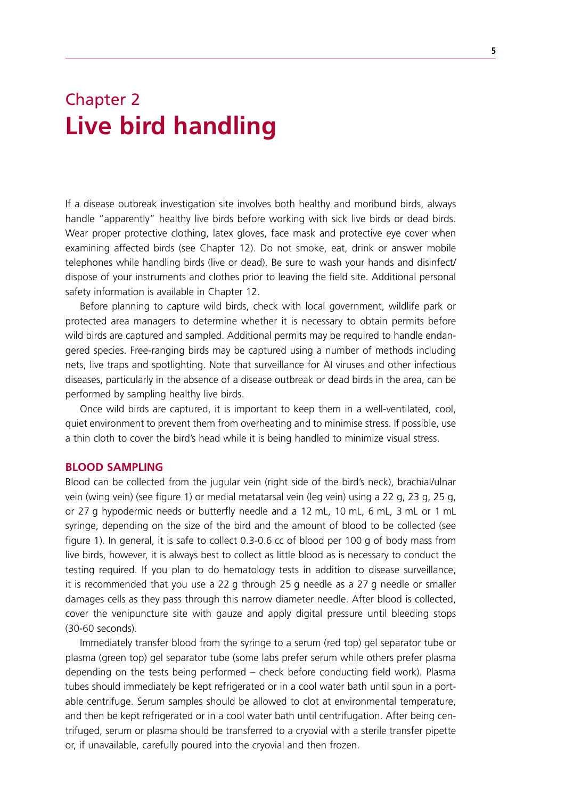### Chapter 2 **Live bird handling**

If a disease outbreak investigation site involves both healthy and moribund birds, always handle "apparently" healthy live birds before working with sick live birds or dead birds. Wear proper protective clothing, latex gloves, face mask and protective eye cover when examining affected birds (see Chapter 12). Do not smoke, eat, drink or answer mobile telephones while handling birds (live or dead). Be sure to wash your hands and disinfect/ dispose of your instruments and clothes prior to leaving the field site. Additional personal safety information is available in Chapter 12.

Before planning to capture wild birds, check with local government, wildlife park or protected area managers to determine whether it is necessary to obtain permits before wild birds are captured and sampled. Additional permits may be required to handle endangered species. Free-ranging birds may be captured using a number of methods including nets, live traps and spotlighting. Note that surveillance for AI viruses and other infectious diseases, particularly in the absence of a disease outbreak or dead birds in the area, can be performed by sampling healthy live birds.

Once wild birds are captured, it is important to keep them in a well-ventilated, cool, quiet environment to prevent them from overheating and to minimise stress. If possible, use a thin cloth to cover the bird's head while it is being handled to minimize visual stress.

### **BLOOD SAMPLING**

Blood can be collected from the jugular vein (right side of the bird's neck), brachial/ulnar vein (wing vein) (see figure 1) or medial metatarsal vein (leg vein) using a 22 g, 23 g, 25 g, or 27 g hypodermic needs or butterfly needle and a 12 mL, 10 mL, 6 mL, 3 mL or 1 mL syringe, depending on the size of the bird and the amount of blood to be collected (see figure 1). In general, it is safe to collect 0.3-0.6 cc of blood per 100 g of body mass from live birds, however, it is always best to collect as little blood as is necessary to conduct the testing required. If you plan to do hematology tests in addition to disease surveillance, it is recommended that you use a 22 g through 25 g needle as a 27 g needle or smaller damages cells as they pass through this narrow diameter needle. After blood is collected, cover the venipuncture site with gauze and apply digital pressure until bleeding stops (30-60 seconds).

Immediately transfer blood from the syringe to a serum (red top) gel separator tube or plasma (green top) gel separator tube (some labs prefer serum while others prefer plasma depending on the tests being performed – check before conducting field work). Plasma tubes should immediately be kept refrigerated or in a cool water bath until spun in a portable centrifuge. Serum samples should be allowed to clot at environmental temperature, and then be kept refrigerated or in a cool water bath until centrifugation. After being centrifuged, serum or plasma should be transferred to a cryovial with a sterile transfer pipette or, if unavailable, carefully poured into the cryovial and then frozen.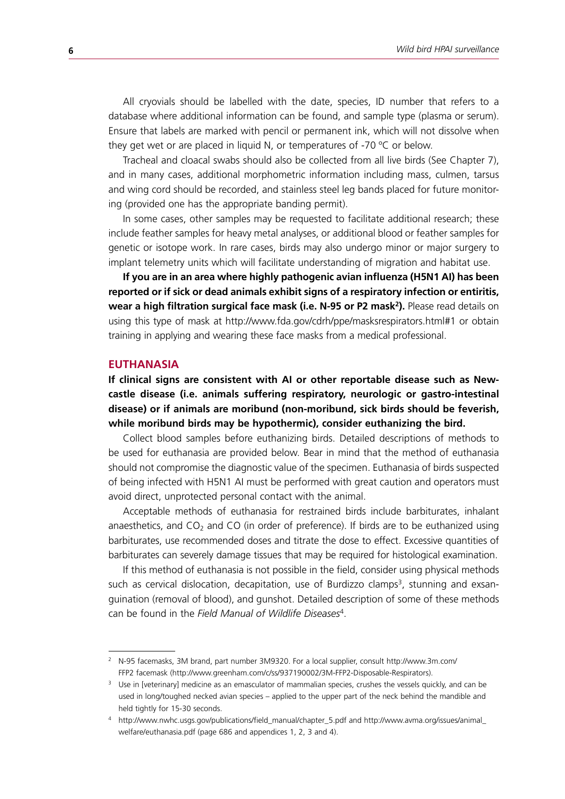All cryovials should be labelled with the date, species, ID number that refers to a database where additional information can be found, and sample type (plasma or serum). Ensure that labels are marked with pencil or permanent ink, which will not dissolve when they get wet or are placed in liquid N, or temperatures of -70 ºC or below.

Tracheal and cloacal swabs should also be collected from all live birds (See Chapter 7), and in many cases, additional morphometric information including mass, culmen, tarsus and wing cord should be recorded, and stainless steel leg bands placed for future monitoring (provided one has the appropriate banding permit).

In some cases, other samples may be requested to facilitate additional research; these include feather samples for heavy metal analyses, or additional blood or feather samples for genetic or isotope work. In rare cases, birds may also undergo minor or major surgery to implant telemetry units which will facilitate understanding of migration and habitat use.

**If you are in an area where highly pathogenic avian influenza (H5N1 AI) has been reported or if sick or dead animals exhibit signs of a respiratory infection or entiritis, wear a high filtration surgical face mask (i.e. N-95 or P2 mask2).** Please read details on using this type of mask at http://www.fda.gov/cdrh/ppe/masksrespirators.html#1 or obtain training in applying and wearing these face masks from a medical professional.

### **EUTHANASIA**

**If clinical signs are consistent with AI or other reportable disease such as Newcastle disease (i.e. animals suffering respiratory, neurologic or gastro-intestinal disease) or if animals are moribund (non-moribund, sick birds should be feverish, while moribund birds may be hypothermic), consider euthanizing the bird.**

Collect blood samples before euthanizing birds. Detailed descriptions of methods to be used for euthanasia are provided below. Bear in mind that the method of euthanasia should not compromise the diagnostic value of the specimen. Euthanasia of birds suspected of being infected with H5N1 AI must be performed with great caution and operators must avoid direct, unprotected personal contact with the animal.

Acceptable methods of euthanasia for restrained birds include barbiturates, inhalant anaesthetics, and  $CO<sub>2</sub>$  and CO (in order of preference). If birds are to be euthanized using barbiturates, use recommended doses and titrate the dose to effect. Excessive quantities of barbiturates can severely damage tissues that may be required for histological examination.

If this method of euthanasia is not possible in the field, consider using physical methods such as cervical dislocation, decapitation, use of Burdizzo clamps<sup>3</sup>, stunning and exsanguination (removal of blood), and gunshot. Detailed description of some of these methods can be found in the *Field Manual of Wildlife Diseases*4.

<sup>2</sup> N-95 facemasks, 3M brand, part number 3M9320. For a local supplier, consult http://www.3m.com/ FFP2 facemask (http://www.greenham.com/c/ss/937190002/3M-FFP2-Disposable-Respirators).

<sup>&</sup>lt;sup>3</sup> Use in [veterinary] medicine as an emasculator of mammalian species, crushes the vessels quickly, and can be used in long/toughed necked avian species – applied to the upper part of the neck behind the mandible and held tightly for 15-30 seconds.

<sup>4</sup> http://www.nwhc.usgs.gov/publications/field\_manual/chapter\_5.pdf and http://www.avma.org/issues/animal\_ welfare/euthanasia.pdf (page 686 and appendices 1, 2, 3 and 4).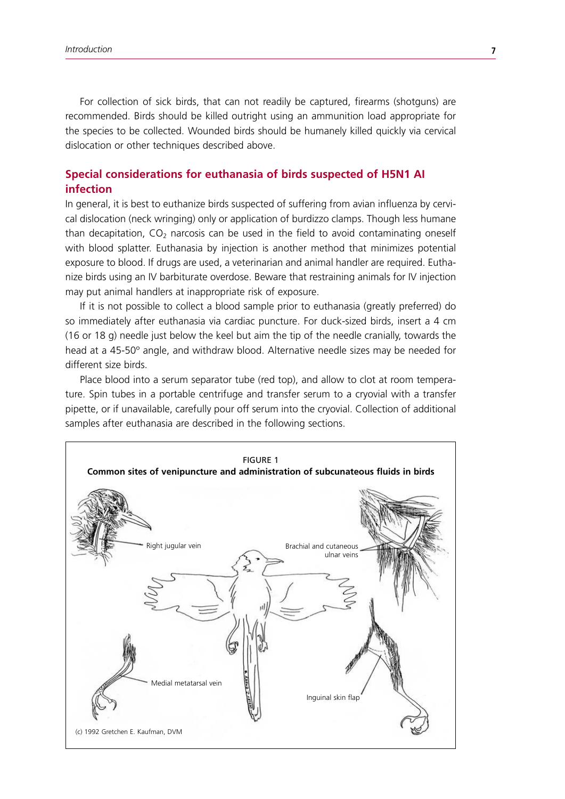For collection of sick birds, that can not readily be captured, firearms (shotguns) are recommended. Birds should be killed outright using an ammunition load appropriate for the species to be collected. Wounded birds should be humanely killed quickly via cervical dislocation or other techniques described above.

### **Special considerations for euthanasia of birds suspected of H5N1 AI infection**

In general, it is best to euthanize birds suspected of suffering from avian influenza by cervical dislocation (neck wringing) only or application of burdizzo clamps. Though less humane than decapitation,  $CO<sub>2</sub>$  narcosis can be used in the field to avoid contaminating oneself with blood splatter. Euthanasia by injection is another method that minimizes potential exposure to blood. If drugs are used, a veterinarian and animal handler are required. Euthanize birds using an IV barbiturate overdose. Beware that restraining animals for IV injection may put animal handlers at inappropriate risk of exposure.

If it is not possible to collect a blood sample prior to euthanasia (greatly preferred) do so immediately after euthanasia via cardiac puncture. For duck-sized birds, insert a 4 cm (16 or 18 g) needle just below the keel but aim the tip of the needle cranially, towards the head at a 45-50º angle, and withdraw blood. Alternative needle sizes may be needed for different size birds.

Place blood into a serum separator tube (red top), and allow to clot at room temperature. Spin tubes in a portable centrifuge and transfer serum to a cryovial with a transfer pipette, or if unavailable, carefully pour off serum into the cryovial. Collection of additional samples after euthanasia are described in the following sections.

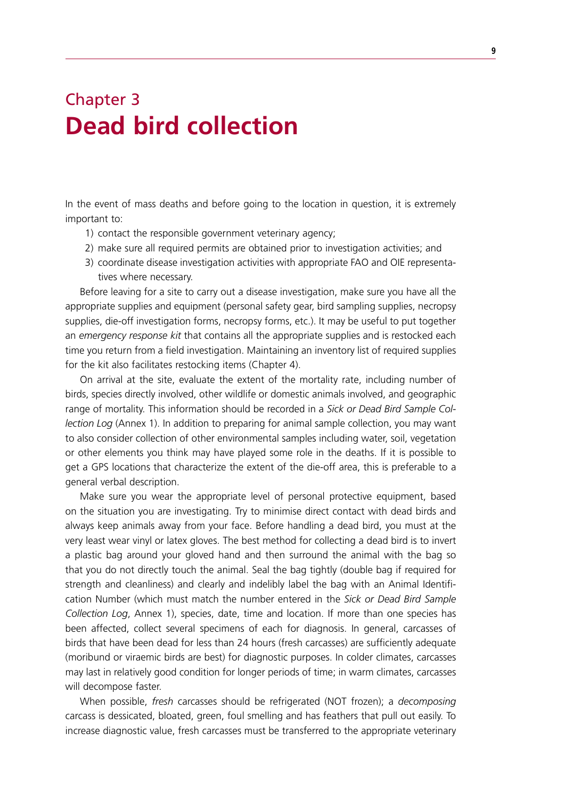### Chapter 3 **Dead bird collection**

In the event of mass deaths and before going to the location in question, it is extremely important to:

- 1) contact the responsible government veterinary agency;
- 2) make sure all required permits are obtained prior to investigation activities; and
- 3) coordinate disease investigation activities with appropriate FAO and OIE representatives where necessary.

Before leaving for a site to carry out a disease investigation, make sure you have all the appropriate supplies and equipment (personal safety gear, bird sampling supplies, necropsy supplies, die-off investigation forms, necropsy forms, etc.). It may be useful to put together an *emergency response kit* that contains all the appropriate supplies and is restocked each time you return from a field investigation. Maintaining an inventory list of required supplies for the kit also facilitates restocking items (Chapter 4).

On arrival at the site, evaluate the extent of the mortality rate, including number of birds, species directly involved, other wildlife or domestic animals involved, and geographic range of mortality. This information should be recorded in a *Sick or Dead Bird Sample Collection Log* (Annex 1). In addition to preparing for animal sample collection, you may want to also consider collection of other environmental samples including water, soil, vegetation or other elements you think may have played some role in the deaths. If it is possible to get a GPS locations that characterize the extent of the die-off area, this is preferable to a general verbal description.

Make sure you wear the appropriate level of personal protective equipment, based on the situation you are investigating. Try to minimise direct contact with dead birds and always keep animals away from your face. Before handling a dead bird, you must at the very least wear vinyl or latex gloves. The best method for collecting a dead bird is to invert a plastic bag around your gloved hand and then surround the animal with the bag so that you do not directly touch the animal. Seal the bag tightly (double bag if required for strength and cleanliness) and clearly and indelibly label the bag with an Animal Identification Number (which must match the number entered in the *Sick or Dead Bird Sample Collection Log*, Annex 1), species, date, time and location. If more than one species has been affected, collect several specimens of each for diagnosis. In general, carcasses of birds that have been dead for less than 24 hours (fresh carcasses) are sufficiently adequate (moribund or viraemic birds are best) for diagnostic purposes. In colder climates, carcasses may last in relatively good condition for longer periods of time; in warm climates, carcasses will decompose faster.

When possible, *fresh* carcasses should be refrigerated (NOT frozen); a *decomposing* carcass is dessicated, bloated, green, foul smelling and has feathers that pull out easily. To increase diagnostic value, fresh carcasses must be transferred to the appropriate veterinary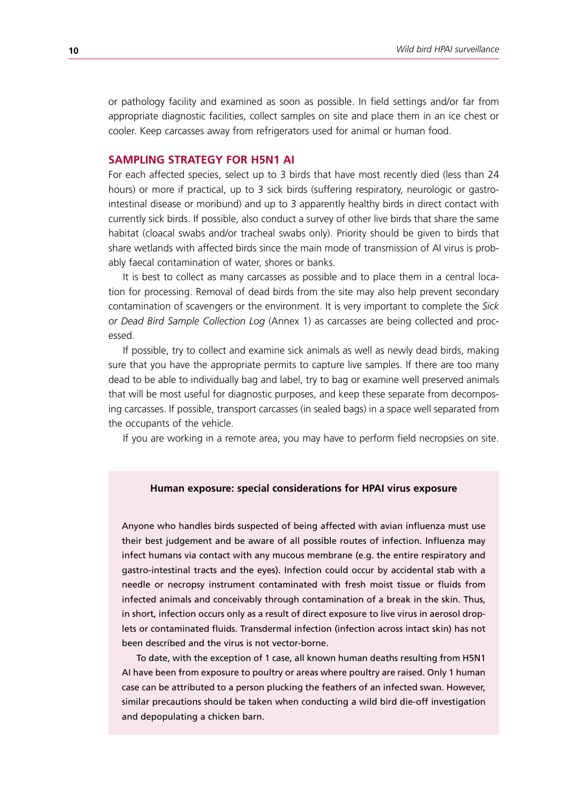or pathology facility and examined as soon as possible. In field settings and/or far from appropriate diagnostic facilities, collect samples on site and place them in an ice chest or cooler. Keep carcasses away from refrigerators used for animal or human food.

### **SAMPLING STRATEGY FOR H5N1 AI**

For each affected species, select up to 3 birds that have most recently died (less than 24 hours) or more if practical, up to 3 sick birds (suffering respiratory, neurologic or gastrointestinal disease or moribund) and up to 3 apparently healthy birds in direct contact with currently sick birds. If possible, also conduct a survey of other live birds that share the same habitat (cloacal swabs and/or tracheal swabs only). Priority should be given to birds that share wetlands with affected birds since the main mode of transmission of AI virus is probably faecal contamination of water, shores or banks.

It is best to collect as many carcasses as possible and to place them in a central location for processing. Removal of dead birds from the site may also help prevent secondary contamination of scavengers or the environment. It is very important to complete the *Sick or Dead Bird Sample Collection Log* (Annex 1) as carcasses are being collected and processed.

If possible, try to collect and examine sick animals as well as newly dead birds, making sure that you have the appropriate permits to capture live samples. If there are too many dead to be able to individually bag and label, try to bag or examine well preserved animals that will be most useful for diagnostic purposes, and keep these separate from decomposing carcasses. If possible, transport carcasses (in sealed bags) in a space well separated from the occupants of the vehicle.

If you are working in a remote area, you may have to perform field necropsies on site.

### **Human exposure: special considerations for HPAI virus exposure**

Anyone who handles birds suspected of being affected with avian influenza must use their best judgement and be aware of all possible routes of infection. Influenza may infect humans via contact with any mucous membrane (e.g. the entire respiratory and gastro-intestinal tracts and the eyes). Infection could occur by accidental stab with a needle or necropsy instrument contaminated with fresh moist tissue or fluids from infected animals and conceivably through contamination of a break in the skin. Thus, in short, infection occurs only as a result of direct exposure to live virus in aerosol droplets or contaminated fluids. Transdermal infection (infection across intact skin) has not been described and the virus is not vector-borne.

To date, with the exception of 1 case, all known human deaths resulting from H5N1 AI have been from exposure to poultry or areas where poultry are raised. Only 1 human case can be attributed to a person plucking the feathers of an infected swan. However, similar precautions should be taken when conducting a wild bird die-off investigation and depopulating a chicken barn.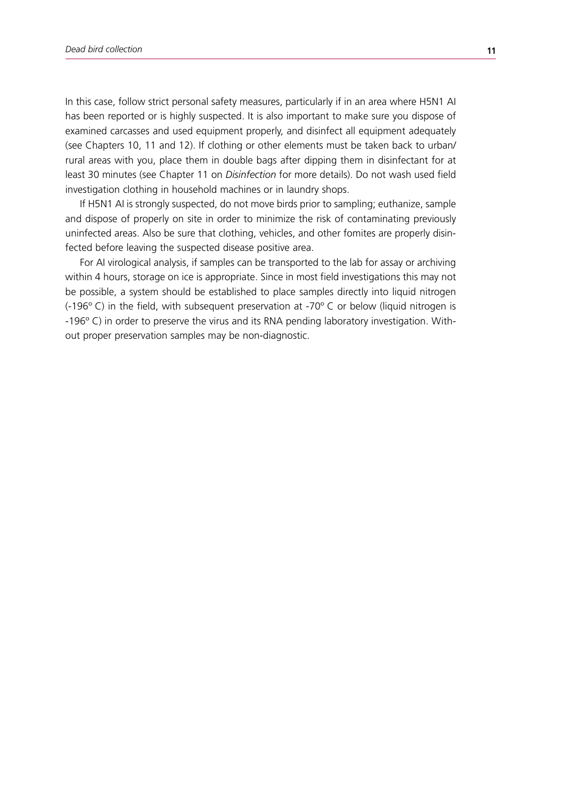In this case, follow strict personal safety measures, particularly if in an area where H5N1 AI has been reported or is highly suspected. It is also important to make sure you dispose of examined carcasses and used equipment properly, and disinfect all equipment adequately (see Chapters 10, 11 and 12). If clothing or other elements must be taken back to urban/ rural areas with you, place them in double bags after dipping them in disinfectant for at least 30 minutes (see Chapter 11 on *Disinfection* for more details). Do not wash used field investigation clothing in household machines or in laundry shops.

If H5N1 AI is strongly suspected, do not move birds prior to sampling; euthanize, sample and dispose of properly on site in order to minimize the risk of contaminating previously uninfected areas. Also be sure that clothing, vehicles, and other fomites are properly disinfected before leaving the suspected disease positive area.

For AI virological analysis, if samples can be transported to the lab for assay or archiving within 4 hours, storage on ice is appropriate. Since in most field investigations this may not be possible, a system should be established to place samples directly into liquid nitrogen (-196 $^{\circ}$  C) in the field, with subsequent preservation at -70 $^{\circ}$  C or below (liquid nitrogen is -196º C) in order to preserve the virus and its RNA pending laboratory investigation. Without proper preservation samples may be non-diagnostic.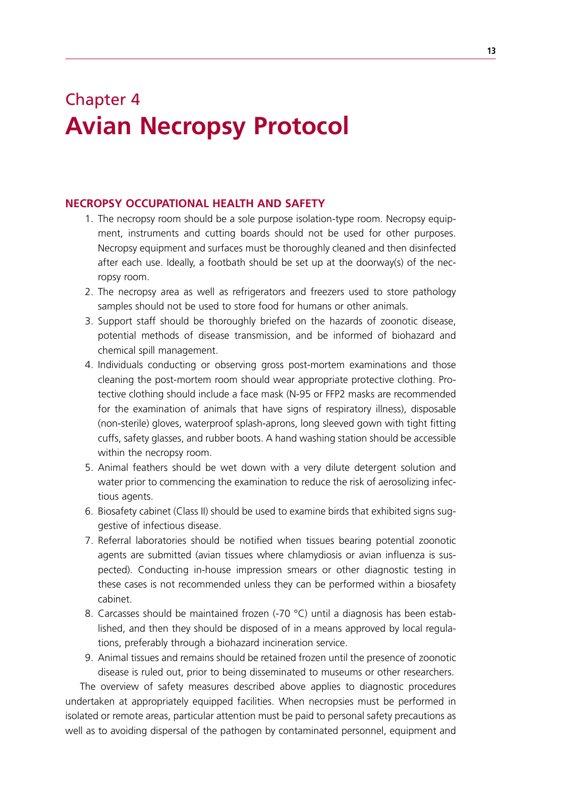### Chapter 4 **Avian Necropsy Protocol**

### **NECROPSY OCCUPATIONAL HEALTH AND SAFETY**

- 1. The necropsy room should be a sole purpose isolation-type room. Necropsy equipment, instruments and cutting boards should not be used for other purposes. Necropsy equipment and surfaces must be thoroughly cleaned and then disinfected after each use. Ideally, a footbath should be set up at the doorway(s) of the necropsy room.
- 2. The necropsy area as well as refrigerators and freezers used to store pathology samples should not be used to store food for humans or other animals.
- 3. Support staff should be thoroughly briefed on the hazards of zoonotic disease, potential methods of disease transmission, and be informed of biohazard and chemical spill management.
- 4. Individuals conducting or observing gross post-mortem examinations and those cleaning the post-mortem room should wear appropriate protective clothing. Protective clothing should include a face mask (N-95 or FFP2 masks are recommended for the examination of animals that have signs of respiratory illness), disposable (non-sterile) gloves, waterproof splash-aprons, long sleeved gown with tight fitting cuffs, safety glasses, and rubber boots. A hand washing station should be accessible within the necropsy room.
- 5. Animal feathers should be wet down with a very dilute detergent solution and water prior to commencing the examination to reduce the risk of aerosolizing infectious agents.
- 6. Biosafety cabinet (Class II) should be used to examine birds that exhibited signs suggestive of infectious disease.
- 7. Referral laboratories should be notified when tissues bearing potential zoonotic agents are submitted (avian tissues where chlamydiosis or avian influenza is suspected). Conducting in-house impression smears or other diagnostic testing in these cases is not recommended unless they can be performed within a biosafety cabinet.
- 8. Carcasses should be maintained frozen (-70 °C) until a diagnosis has been established, and then they should be disposed of in a means approved by local regulations, preferably through a biohazard incineration service.
- 9. Animal tissues and remains should be retained frozen until the presence of zoonotic disease is ruled out, prior to being disseminated to museums or other researchers.

The overview of safety measures described above applies to diagnostic procedures undertaken at appropriately equipped facilities. When necropsies must be performed in isolated or remote areas, particular attention must be paid to personal safety precautions as well as to avoiding dispersal of the pathogen by contaminated personnel, equipment and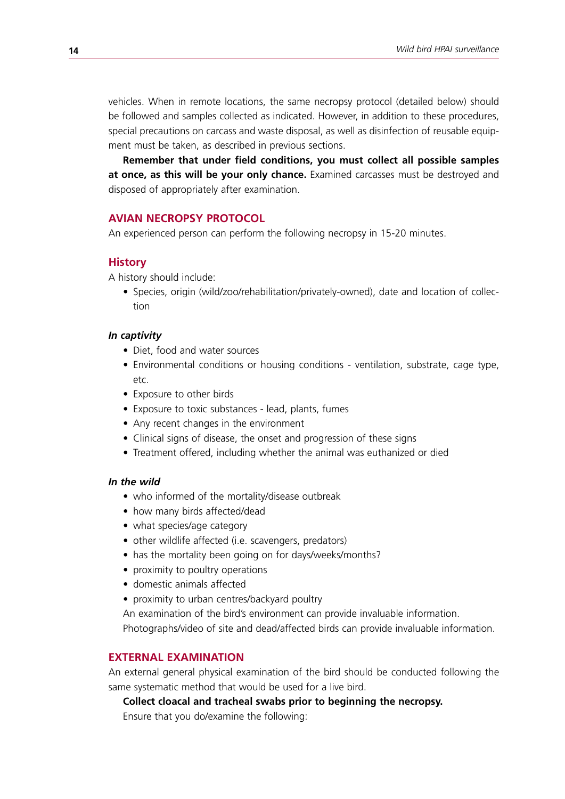vehicles. When in remote locations, the same necropsy protocol (detailed below) should be followed and samples collected as indicated. However, in addition to these procedures, special precautions on carcass and waste disposal, as well as disinfection of reusable equipment must be taken, as described in previous sections.

**Remember that under field conditions, you must collect all possible samples at once, as this will be your only chance.** Examined carcasses must be destroyed and disposed of appropriately after examination.

### **AVIAN NECROPSY PROTOCOL**

An experienced person can perform the following necropsy in 15-20 minutes.

### **History**

A history should include:

• Species, origin (wild/zoo/rehabilitation/privately-owned), date and location of collection

### *In captivity*

- Diet, food and water sources
- Environmental conditions or housing conditions ventilation, substrate, cage type,  $_{\text{atc}}$
- Exposure to other birds
- Exposure to toxic substances lead, plants, fumes
- Any recent changes in the environment
- Clinical signs of disease, the onset and progression of these signs
- Treatment offered, including whether the animal was euthanized or died

### *In the wild*

- who informed of the mortality/disease outbreak
- how many birds affected/dead
- what species/age category
- other wildlife affected (i.e. scavengers, predators)
- has the mortality been going on for days/weeks/months?
- proximity to poultry operations
- domestic animals affected
- proximity to urban centres/backyard poultry
- An examination of the bird's environment can provide invaluable information. Photographs/video of site and dead/affected birds can provide invaluable information.

### **EXTERNAL EXAMINATION**

An external general physical examination of the bird should be conducted following the same systematic method that would be used for a live bird.

**Collect cloacal and tracheal swabs prior to beginning the necropsy.**

Ensure that you do/examine the following: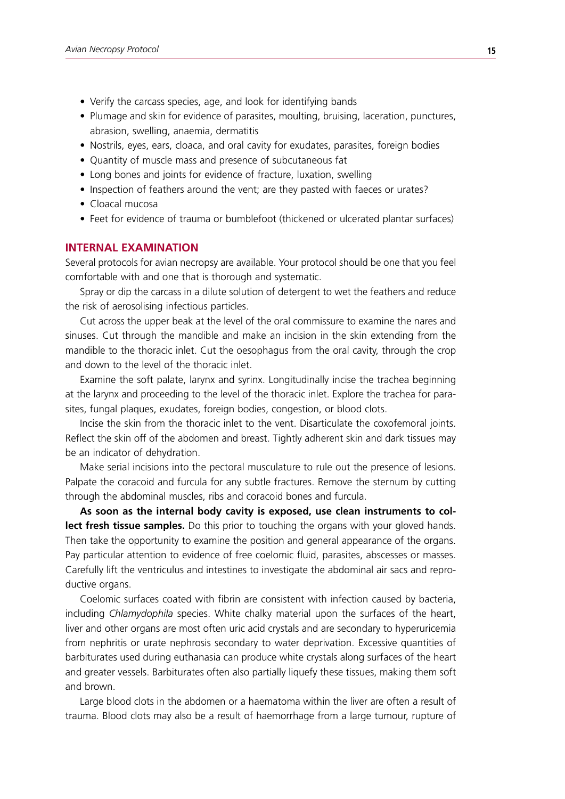- Verify the carcass species, age, and look for identifying bands
- Plumage and skin for evidence of parasites, moulting, bruising, laceration, punctures, abrasion, swelling, anaemia, dermatitis
- Nostrils, eyes, ears, cloaca, and oral cavity for exudates, parasites, foreign bodies
- Quantity of muscle mass and presence of subcutaneous fat
- Long bones and joints for evidence of fracture, luxation, swelling
- Inspection of feathers around the vent; are they pasted with faeces or urates?
- Cloacal mucosa
- Feet for evidence of trauma or bumblefoot (thickened or ulcerated plantar surfaces)

### **INTERNAL EXAMINATION**

Several protocols for avian necropsy are available. Your protocol should be one that you feel comfortable with and one that is thorough and systematic.

Spray or dip the carcass in a dilute solution of detergent to wet the feathers and reduce the risk of aerosolising infectious particles.

Cut across the upper beak at the level of the oral commissure to examine the nares and sinuses. Cut through the mandible and make an incision in the skin extending from the mandible to the thoracic inlet. Cut the oesophagus from the oral cavity, through the crop and down to the level of the thoracic inlet.

Examine the soft palate, larynx and syrinx. Longitudinally incise the trachea beginning at the larynx and proceeding to the level of the thoracic inlet. Explore the trachea for parasites, fungal plaques, exudates, foreign bodies, congestion, or blood clots.

Incise the skin from the thoracic inlet to the vent. Disarticulate the coxofemoral joints. Reflect the skin off of the abdomen and breast. Tightly adherent skin and dark tissues may be an indicator of dehydration.

Make serial incisions into the pectoral musculature to rule out the presence of lesions. Palpate the coracoid and furcula for any subtle fractures. Remove the sternum by cutting through the abdominal muscles, ribs and coracoid bones and furcula.

**As soon as the internal body cavity is exposed, use clean instruments to collect fresh tissue samples.** Do this prior to touching the organs with your gloved hands. Then take the opportunity to examine the position and general appearance of the organs. Pay particular attention to evidence of free coelomic fluid, parasites, abscesses or masses. Carefully lift the ventriculus and intestines to investigate the abdominal air sacs and reproductive organs.

Coelomic surfaces coated with fibrin are consistent with infection caused by bacteria, including *Chlamydophila* species. White chalky material upon the surfaces of the heart, liver and other organs are most often uric acid crystals and are secondary to hyperuricemia from nephritis or urate nephrosis secondary to water deprivation. Excessive quantities of barbiturates used during euthanasia can produce white crystals along surfaces of the heart and greater vessels. Barbiturates often also partially liquefy these tissues, making them soft and brown.

Large blood clots in the abdomen or a haematoma within the liver are often a result of trauma. Blood clots may also be a result of haemorrhage from a large tumour, rupture of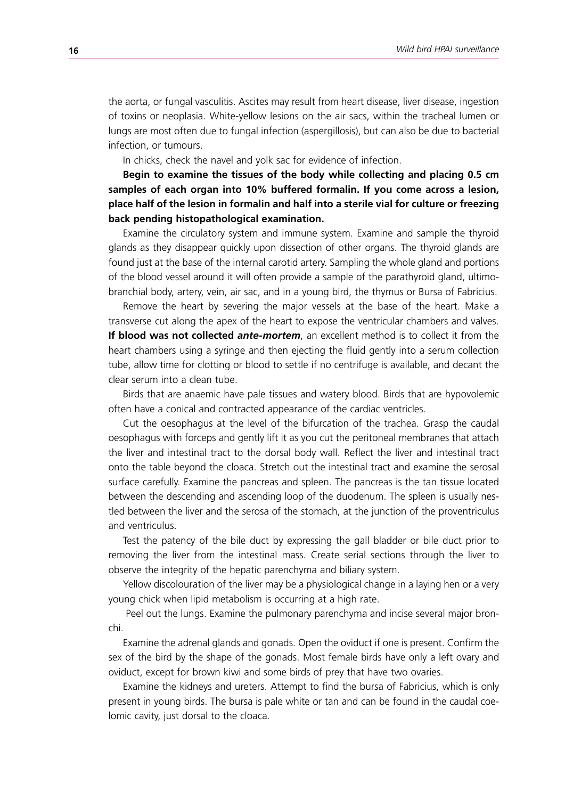the aorta, or fungal vasculitis. Ascites may result from heart disease, liver disease, ingestion of toxins or neoplasia. White-yellow lesions on the air sacs, within the tracheal lumen or lungs are most often due to fungal infection (aspergillosis), but can also be due to bacterial infection, or tumours.

In chicks, check the navel and yolk sac for evidence of infection.

### **Begin to examine the tissues of the body while collecting and placing 0.5 cm samples of each organ into 10% buffered formalin. If you come across a lesion, place half of the lesion in formalin and half into a sterile vial for culture or freezing back pending histopathological examination.**

Examine the circulatory system and immune system. Examine and sample the thyroid glands as they disappear quickly upon dissection of other organs. The thyroid glands are found just at the base of the internal carotid artery. Sampling the whole gland and portions of the blood vessel around it will often provide a sample of the parathyroid gland, ultimobranchial body, artery, vein, air sac, and in a young bird, the thymus or Bursa of Fabricius.

Remove the heart by severing the major vessels at the base of the heart. Make a transverse cut along the apex of the heart to expose the ventricular chambers and valves. **If blood was not collected** *ante-mortem*, an excellent method is to collect it from the heart chambers using a syringe and then ejecting the fluid gently into a serum collection tube, allow time for clotting or blood to settle if no centrifuge is available, and decant the clear serum into a clean tube.

Birds that are anaemic have pale tissues and watery blood. Birds that are hypovolemic often have a conical and contracted appearance of the cardiac ventricles.

Cut the oesophagus at the level of the bifurcation of the trachea. Grasp the caudal oesophagus with forceps and gently lift it as you cut the peritoneal membranes that attach the liver and intestinal tract to the dorsal body wall. Reflect the liver and intestinal tract onto the table beyond the cloaca. Stretch out the intestinal tract and examine the serosal surface carefully. Examine the pancreas and spleen. The pancreas is the tan tissue located between the descending and ascending loop of the duodenum. The spleen is usually nestled between the liver and the serosa of the stomach, at the junction of the proventriculus and ventriculus.

Test the patency of the bile duct by expressing the gall bladder or bile duct prior to removing the liver from the intestinal mass. Create serial sections through the liver to observe the integrity of the hepatic parenchyma and biliary system.

Yellow discolouration of the liver may be a physiological change in a laying hen or a very young chick when lipid metabolism is occurring at a high rate.

 Peel out the lungs. Examine the pulmonary parenchyma and incise several major bronchi.

Examine the adrenal glands and gonads. Open the oviduct if one is present. Confirm the sex of the bird by the shape of the gonads. Most female birds have only a left ovary and oviduct, except for brown kiwi and some birds of prey that have two ovaries.

Examine the kidneys and ureters. Attempt to find the bursa of Fabricius, which is only present in young birds. The bursa is pale white or tan and can be found in the caudal coelomic cavity, just dorsal to the cloaca.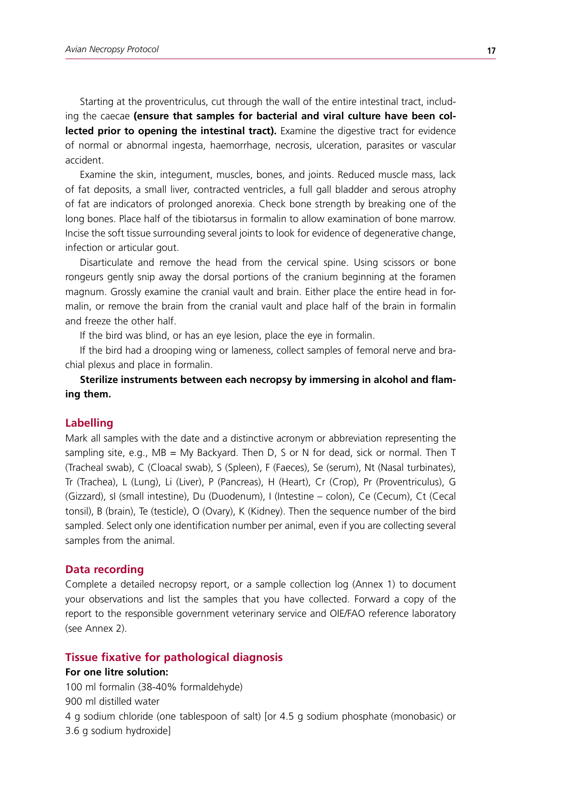Starting at the proventriculus, cut through the wall of the entire intestinal tract, including the caecae **(ensure that samples for bacterial and viral culture have been collected prior to opening the intestinal tract).** Examine the digestive tract for evidence of normal or abnormal ingesta, haemorrhage, necrosis, ulceration, parasites or vascular accident.

Examine the skin, integument, muscles, bones, and joints. Reduced muscle mass, lack of fat deposits, a small liver, contracted ventricles, a full gall bladder and serous atrophy of fat are indicators of prolonged anorexia. Check bone strength by breaking one of the long bones. Place half of the tibiotarsus in formalin to allow examination of bone marrow. Incise the soft tissue surrounding several joints to look for evidence of degenerative change, infection or articular gout.

Disarticulate and remove the head from the cervical spine. Using scissors or bone rongeurs gently snip away the dorsal portions of the cranium beginning at the foramen magnum. Grossly examine the cranial vault and brain. Either place the entire head in formalin, or remove the brain from the cranial vault and place half of the brain in formalin and freeze the other half.

If the bird was blind, or has an eye lesion, place the eye in formalin.

If the bird had a drooping wing or lameness, collect samples of femoral nerve and brachial plexus and place in formalin.

**Sterilize instruments between each necropsy by immersing in alcohol and flaming them.** 

### **Labelling**

Mark all samples with the date and a distinctive acronym or abbreviation representing the sampling site, e.g.,  $MB = My$  Backyard. Then D, S or N for dead, sick or normal. Then T (Tracheal swab), C (Cloacal swab), S (Spleen), F (Faeces), Se (serum), Nt (Nasal turbinates), Tr (Trachea), L (Lung), Li (Liver), P (Pancreas), H (Heart), Cr (Crop), Pr (Proventriculus), G (Gizzard), sI (small intestine), Du (Duodenum), I (Intestine – colon), Ce (Cecum), Ct (Cecal tonsil), B (brain), Te (testicle), O (Ovary), K (Kidney). Then the sequence number of the bird sampled. Select only one identification number per animal, even if you are collecting several samples from the animal.

#### **Data recording**

Complete a detailed necropsy report, or a sample collection log (Annex 1) to document your observations and list the samples that you have collected. Forward a copy of the report to the responsible government veterinary service and OIE/FAO reference laboratory (see Annex 2).

#### **Tissue fixative for pathological diagnosis**

### **For one litre solution:**

100 ml formalin (38-40% formaldehyde) 900 ml distilled water 4 g sodium chloride (one tablespoon of salt) [or 4.5 g sodium phosphate (monobasic) or 3.6 g sodium hydroxide]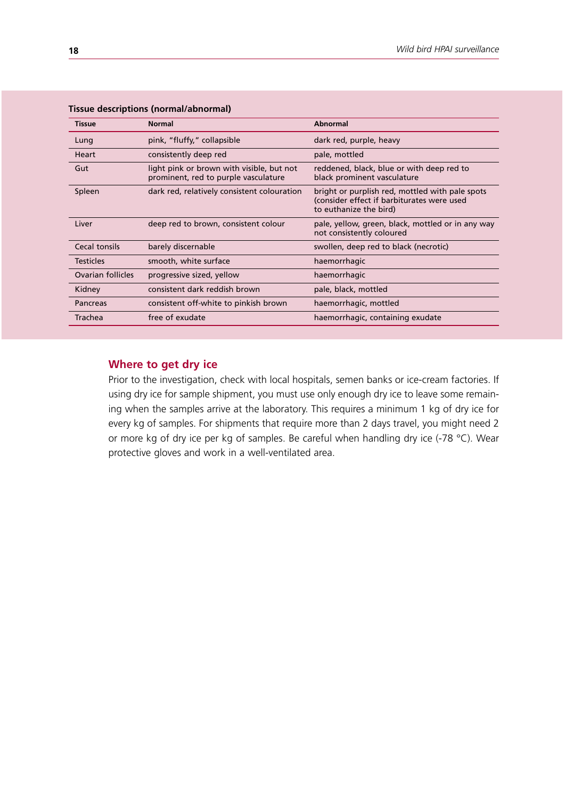| <b>Tissue</b>     | <b>Normal</b>                                                                     | <b>Abnormal</b>                                                                                                         |
|-------------------|-----------------------------------------------------------------------------------|-------------------------------------------------------------------------------------------------------------------------|
| Lung              | pink, "fluffy," collapsible                                                       | dark red, purple, heavy                                                                                                 |
| Heart             | consistently deep red                                                             | pale, mottled                                                                                                           |
| Gut               | light pink or brown with visible, but not<br>prominent, red to purple vasculature | reddened, black, blue or with deep red to<br>black prominent vasculature                                                |
| Spleen            | dark red, relatively consistent colouration                                       | bright or purplish red, mottled with pale spots<br>(consider effect if barbiturates were used<br>to euthanize the bird) |
| Liver             | deep red to brown, consistent colour                                              | pale, yellow, green, black, mottled or in any way<br>not consistently coloured                                          |
| Cecal tonsils     | barely discernable                                                                | swollen, deep red to black (necrotic)                                                                                   |
| <b>Testicles</b>  | smooth, white surface                                                             | haemorrhagic                                                                                                            |
| Ovarian follicles | progressive sized, yellow                                                         | haemorrhagic                                                                                                            |
| Kidney            | consistent dark reddish brown                                                     | pale, black, mottled                                                                                                    |
| Pancreas          | consistent off-white to pinkish brown                                             | haemorrhagic, mottled                                                                                                   |
| <b>Trachea</b>    | free of exudate                                                                   | haemorrhagic, containing exudate                                                                                        |

#### **Tissue descriptions (normal/abnormal)**

### **Where to get dry ice**

Prior to the investigation, check with local hospitals, semen banks or ice-cream factories. If using dry ice for sample shipment, you must use only enough dry ice to leave some remaining when the samples arrive at the laboratory. This requires a minimum 1 kg of dry ice for every kg of samples. For shipments that require more than 2 days travel, you might need 2 or more kg of dry ice per kg of samples. Be careful when handling dry ice (-78 °C). Wear protective gloves and work in a well-ventilated area.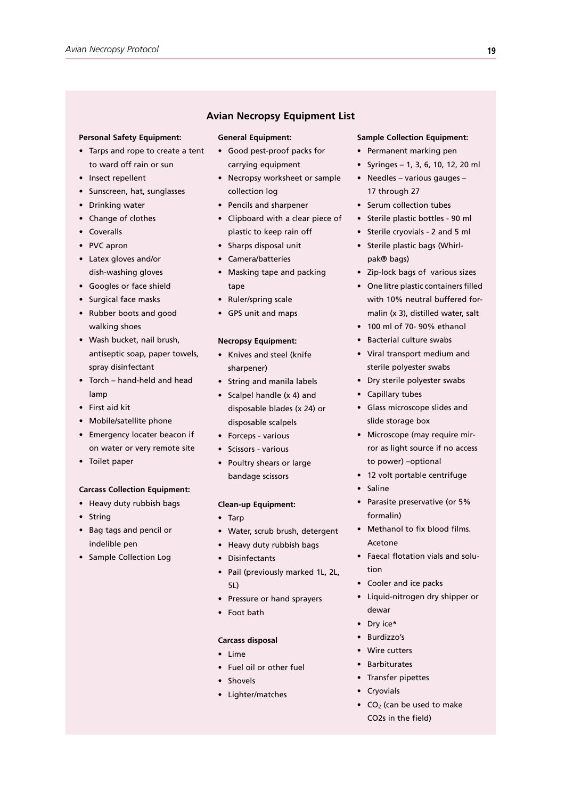### **Avian Necropsy Equipment List**

#### **Personal Safety Equipment:**

- Tarps and rope to create a tent to ward off rain or sun
- Insect repellent
- Sunscreen, hat, sunglasses
- Drinking water
- Change of clothes
- Coveralls
- PVC apron
- Latex gloves and/or dish-washing gloves
- Googles or face shield
- Surgical face masks
- Rubber boots and good walking shoes
- Wash bucket, nail brush, antiseptic soap, paper towels, spray disinfectant
- Torch hand-held and head lamp
- First aid kit
- Mobile/satellite phone
- Emergency locater beacon if on water or very remote site
- Toilet paper

#### **Carcass Collection Equipment:**

- Heavy duty rubbish bags
- String
- Bag tags and pencil or indelible pen
- Sample Collection Log
- **General Equipment:** • Good pest-proof packs for
- carrying equipment
- Necropsy worksheet or sample collection log
- Pencils and sharpener
- Clipboard with a clear piece of plastic to keep rain off
- Sharps disposal unit
- Camera/batteries
- Masking tape and packing tape
- Ruler/spring scale
- GPS unit and maps

#### **Necropsy Equipment:**

- Knives and steel (knife sharpener)
- String and manila labels
- Scalpel handle (x 4) and disposable blades (x 24) or disposable scalpels
- Forceps various
- Scissors various
- Poultry shears or large bandage scissors

#### **Clean-up Equipment:**

- Tarp
- Water, scrub brush, detergent
- Heavy duty rubbish bags
- Disinfectants
- Pail (previously marked 1L, 2L, 5L)
- Pressure or hand sprayers
- Foot bath

#### **Carcass disposal**

- Lime
- Fuel oil or other fuel
- Shovels
- Lighter/matches

#### **Sample Collection Equipment:**

- Permanent marking pen
- Syringes 1, 3, 6, 10, 12, 20 ml
- Needles various gauges 17 through 27
- Serum collection tubes
- Sterile plastic bottles 90 ml
- Sterile cryovials 2 and 5 ml
- Sterile plastic bags (Whirlpak® bags)
- Zip-lock bags of various sizes
- One litre plastic containers filled with 10% neutral buffered formalin (x 3), distilled water, salt
- 100 ml of 70- 90% ethanol
- Bacterial culture swabs
- Viral transport medium and sterile polyester swabs
- Dry sterile polyester swabs
- Capillary tubes
- Glass microscope slides and slide storage box
- Microscope (may require mirror as light source if no access to power) –optional
- 12 volt portable centrifuge
- Saline
- Parasite preservative (or 5% formalin)
- Methanol to fix blood films. Acetone
- Faecal flotation vials and solution
- Cooler and ice packs
- Liquid-nitrogen dry shipper or dewar
- Dry ice\*
- Burdizzo's
- Wire cutters
- Barbiturates
- Transfer pipettes
- Cryovials
- $\bullet$  CO<sub>2</sub> (can be used to make CO2s in the field)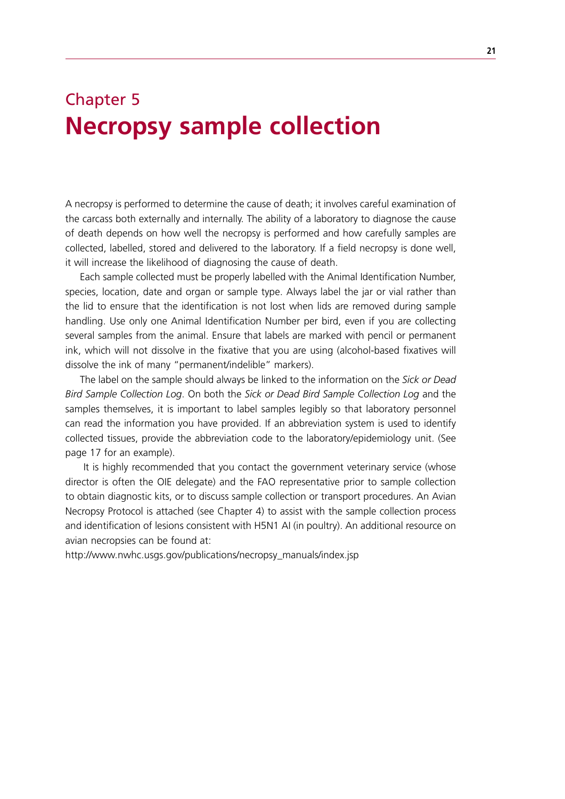### Chapter 5 **Necropsy sample collection**

A necropsy is performed to determine the cause of death; it involves careful examination of the carcass both externally and internally. The ability of a laboratory to diagnose the cause of death depends on how well the necropsy is performed and how carefully samples are collected, labelled, stored and delivered to the laboratory. If a field necropsy is done well, it will increase the likelihood of diagnosing the cause of death.

Each sample collected must be properly labelled with the Animal Identification Number, species, location, date and organ or sample type. Always label the jar or vial rather than the lid to ensure that the identification is not lost when lids are removed during sample handling. Use only one Animal Identification Number per bird, even if you are collecting several samples from the animal. Ensure that labels are marked with pencil or permanent ink, which will not dissolve in the fixative that you are using (alcohol-based fixatives will dissolve the ink of many "permanent/indelible" markers).

The label on the sample should always be linked to the information on the *Sick or Dead Bird Sample Collection Log*. On both the *Sick or Dead Bird Sample Collection Log* and the samples themselves, it is important to label samples legibly so that laboratory personnel can read the information you have provided. If an abbreviation system is used to identify collected tissues, provide the abbreviation code to the laboratory/epidemiology unit. (See page 17 for an example).

 It is highly recommended that you contact the government veterinary service (whose director is often the OIE delegate) and the FAO representative prior to sample collection to obtain diagnostic kits, or to discuss sample collection or transport procedures. An Avian Necropsy Protocol is attached (see Chapter 4) to assist with the sample collection process and identification of lesions consistent with H5N1 AI (in poultry). An additional resource on avian necropsies can be found at:

http://www.nwhc.usgs.gov/publications/necropsy\_manuals/index.jsp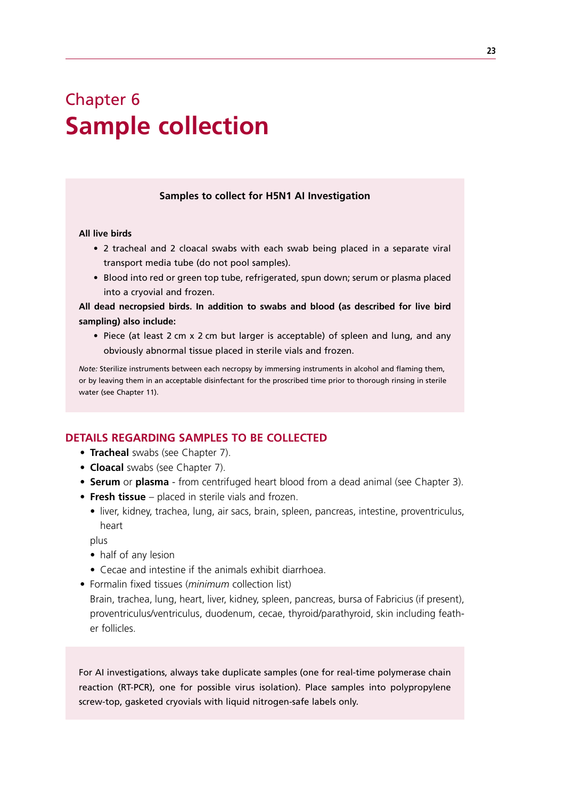### Chapter 6 **Sample collection**

#### **Samples to collect for H5N1 AI Investigation**

#### **All live birds**

- 2 tracheal and 2 cloacal swabs with each swab being placed in a separate viral transport media tube (do not pool samples).
- Blood into red or green top tube, refrigerated, spun down; serum or plasma placed into a cryovial and frozen.

### **All dead necropsied birds. In addition to swabs and blood (as described for live bird sampling) also include:**

• Piece (at least 2 cm x 2 cm but larger is acceptable) of spleen and lung, and any obviously abnormal tissue placed in sterile vials and frozen.

*Note:* Sterilize instruments between each necropsy by immersing instruments in alcohol and flaming them, or by leaving them in an acceptable disinfectant for the proscribed time prior to thorough rinsing in sterile water (see Chapter 11).

### **DETAILS REGARDING SAMPLES TO BE COLLECTED**

- **Tracheal** swabs (see Chapter 7).
- **Cloacal** swabs (see Chapter 7).
- **Serum** or **plasma** from centrifuged heart blood from a dead animal (see Chapter 3).
- **Fresh tissue** placed in sterile vials and frozen.
	- liver, kidney, trachea, lung, air sacs, brain, spleen, pancreas, intestine, proventriculus, heart

plus

- half of any lesion
- Cecae and intestine if the animals exhibit diarrhoea.
- Formalin fixed tissues (*minimum* collection list)

Brain, trachea, lung, heart, liver, kidney, spleen, pancreas, bursa of Fabricius (if present), proventriculus/ventriculus, duodenum, cecae, thyroid/parathyroid, skin including feather follicles.

For AI investigations, always take duplicate samples (one for real-time polymerase chain reaction (RT-PCR), one for possible virus isolation). Place samples into polypropylene screw-top, gasketed cryovials with liquid nitrogen-safe labels only.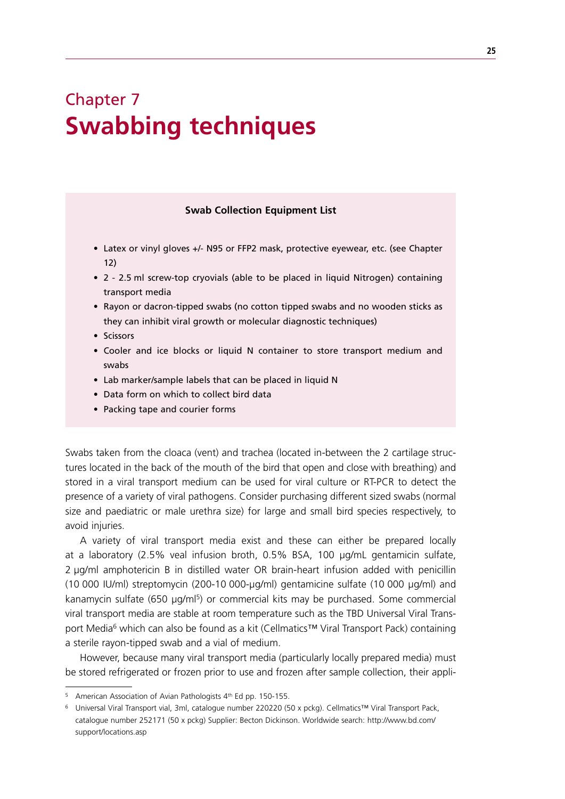### Chapter 7 **Swabbing techniques**

### **Swab Collection Equipment List**

- Latex or vinyl gloves +/- N95 or FFP2 mask, protective eyewear, etc. (see Chapter 12)
- 2 2.5 ml screw-top cryovials (able to be placed in liquid Nitrogen) containing transport media
- Rayon or dacron-tipped swabs (no cotton tipped swabs and no wooden sticks as they can inhibit viral growth or molecular diagnostic techniques)
- Scissors
- Cooler and ice blocks or liquid N container to store transport medium and swabs
- Lab marker/sample labels that can be placed in liquid N
- Data form on which to collect bird data
- Packing tape and courier forms

Swabs taken from the cloaca (vent) and trachea (located in-between the 2 cartilage structures located in the back of the mouth of the bird that open and close with breathing) and stored in a viral transport medium can be used for viral culture or RT-PCR to detect the presence of a variety of viral pathogens. Consider purchasing different sized swabs (normal size and paediatric or male urethra size) for large and small bird species respectively, to avoid injuries.

A variety of viral transport media exist and these can either be prepared locally at a laboratory (2.5% veal infusion broth, 0.5% BSA, 100 μg/mL gentamicin sulfate, 2 μg/ml amphotericin B in distilled water OR brain-heart infusion added with penicillin (10 000 IU/ml) streptomycin (200-10 000-μg/ml) gentamicine sulfate (10 000 μg/ml) and kanamycin sulfate (650 μg/ml5) or commercial kits may be purchased. Some commercial viral transport media are stable at room temperature such as the TBD Universal Viral Transport Media<sup>6</sup> which can also be found as a kit (Cellmatics™ Viral Transport Pack) containing a sterile rayon-tipped swab and a vial of medium.

However, because many viral transport media (particularly locally prepared media) must be stored refrigerated or frozen prior to use and frozen after sample collection, their appli-

<sup>&</sup>lt;sup>5</sup> American Association of Avian Pathologists 4<sup>th</sup> Ed pp. 150-155.

<sup>6</sup> Universal Viral Transport vial, 3ml, catalogue number 220220 (50 x pckg). Cellmatics™ Viral Transport Pack, catalogue number 252171 (50 x pckg) Supplier: Becton Dickinson. Worldwide search: http://www.bd.com/ support/locations.asp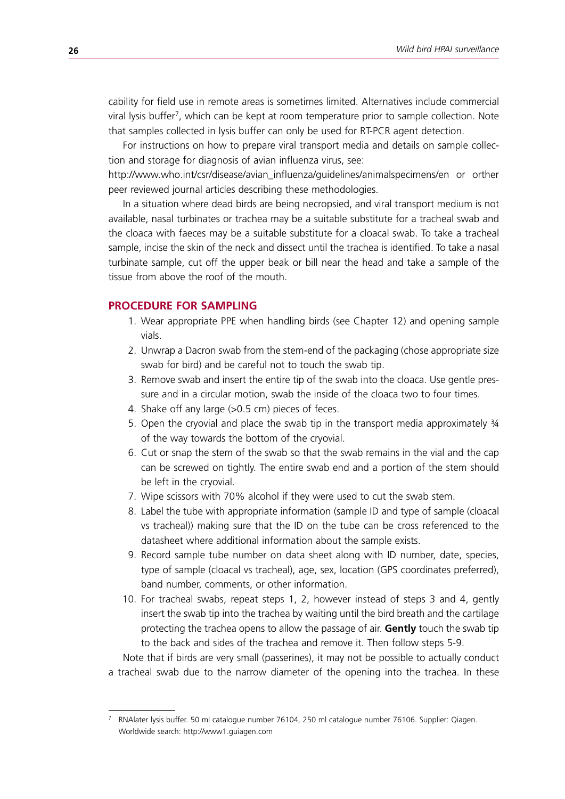cability for field use in remote areas is sometimes limited. Alternatives include commercial viral lysis buffer7, which can be kept at room temperature prior to sample collection. Note that samples collected in lysis buffer can only be used for RT-PCR agent detection.

For instructions on how to prepare viral transport media and details on sample collection and storage for diagnosis of avian influenza virus, see:

http://www.who.int/csr/disease/avian\_influenza/guidelines/animalspecimens/en or orther peer reviewed journal articles describing these methodologies.

In a situation where dead birds are being necropsied, and viral transport medium is not available, nasal turbinates or trachea may be a suitable substitute for a tracheal swab and the cloaca with faeces may be a suitable substitute for a cloacal swab. To take a tracheal sample, incise the skin of the neck and dissect until the trachea is identified. To take a nasal turbinate sample, cut off the upper beak or bill near the head and take a sample of the tissue from above the roof of the mouth.

### **PROCEDURE FOR SAMPLING**

- 1. Wear appropriate PPE when handling birds (see Chapter 12) and opening sample vials.
- 2. Unwrap a Dacron swab from the stem-end of the packaging (chose appropriate size swab for bird) and be careful not to touch the swab tip.
- 3. Remove swab and insert the entire tip of the swab into the cloaca. Use gentle pressure and in a circular motion, swab the inside of the cloaca two to four times.
- 4. Shake off any large (>0.5 cm) pieces of feces.
- 5. Open the cryovial and place the swab tip in the transport media approximately  $\frac{3}{4}$ of the way towards the bottom of the cryovial.
- 6. Cut or snap the stem of the swab so that the swab remains in the vial and the cap can be screwed on tightly. The entire swab end and a portion of the stem should be left in the cryovial.
- 7. Wipe scissors with 70% alcohol if they were used to cut the swab stem.
- 8. Label the tube with appropriate information (sample ID and type of sample (cloacal vs tracheal)) making sure that the ID on the tube can be cross referenced to the datasheet where additional information about the sample exists.
- 9. Record sample tube number on data sheet along with ID number, date, species, type of sample (cloacal vs tracheal), age, sex, location (GPS coordinates preferred), band number, comments, or other information.
- 10. For tracheal swabs, repeat steps 1, 2, however instead of steps 3 and 4, gently insert the swab tip into the trachea by waiting until the bird breath and the cartilage protecting the trachea opens to allow the passage of air. **Gently** touch the swab tip to the back and sides of the trachea and remove it. Then follow steps 5-9.

Note that if birds are very small (passerines), it may not be possible to actually conduct a tracheal swab due to the narrow diameter of the opening into the trachea. In these

<sup>7</sup> RNAlater lysis buffer. 50 ml catalogue number 76104, 250 ml catalogue number 76106. Supplier: Qiagen. Worldwide search: http://www1.guiagen.com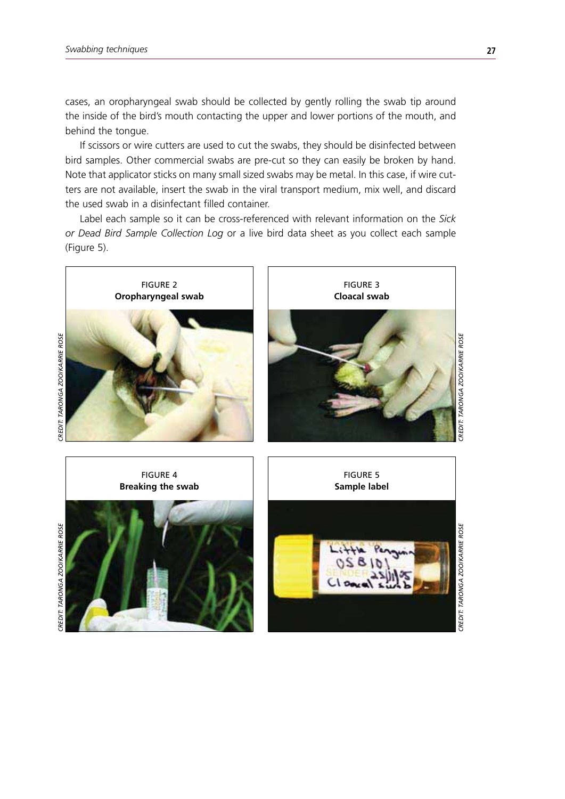cases, an oropharyngeal swab should be collected by gently rolling the swab tip around the inside of the bird's mouth contacting the upper and lower portions of the mouth, and behind the tongue.

If scissors or wire cutters are used to cut the swabs, they should be disinfected between bird samples. Other commercial swabs are pre-cut so they can easily be broken by hand. Note that applicator sticks on many small sized swabs may be metal. In this case, if wire cutters are not available, insert the swab in the viral transport medium, mix well, and discard the used swab in a disinfectant filled container.

Label each sample so it can be cross-referenced with relevant information on the *Sick or Dead Bird Sample Collection Log* or a live bird data sheet as you collect each sample (Figure 5).



CREDIT: TARONGA ZOOIKARRIE ROSE *CREDIT: TARONGA ZOO/KARRIE ROSE*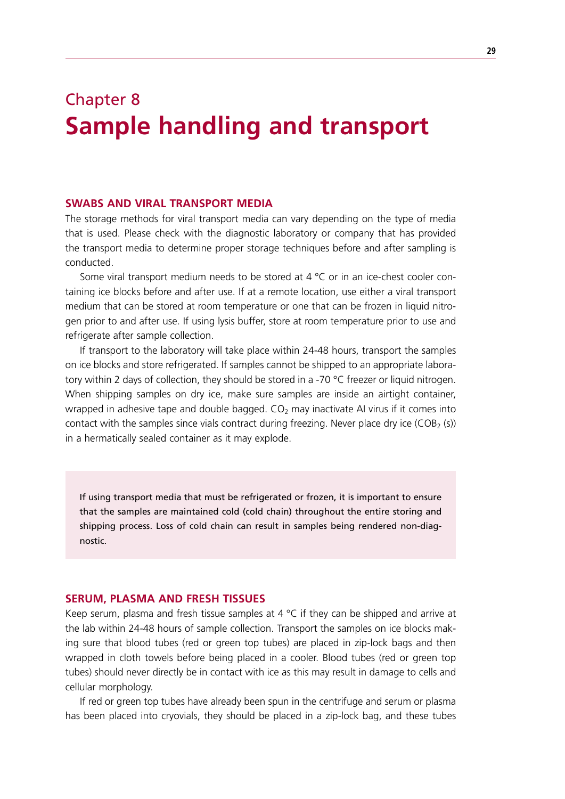### Chapter 8 **Sample handling and transport**

### **SWABS AND VIRAL TRANSPORT MEDIA**

The storage methods for viral transport media can vary depending on the type of media that is used. Please check with the diagnostic laboratory or company that has provided the transport media to determine proper storage techniques before and after sampling is conducted.

Some viral transport medium needs to be stored at  $4^{\circ}$ C or in an ice-chest cooler containing ice blocks before and after use. If at a remote location, use either a viral transport medium that can be stored at room temperature or one that can be frozen in liquid nitrogen prior to and after use. If using lysis buffer, store at room temperature prior to use and refrigerate after sample collection.

If transport to the laboratory will take place within 24-48 hours, transport the samples on ice blocks and store refrigerated. If samples cannot be shipped to an appropriate laboratory within 2 days of collection, they should be stored in a -70 °C freezer or liquid nitrogen. When shipping samples on dry ice, make sure samples are inside an airtight container, wrapped in adhesive tape and double bagged.  $CO<sub>2</sub>$  may inactivate AI virus if it comes into contact with the samples since vials contract during freezing. Never place dry ice (COB<sub>2</sub> (s)) in a hermatically sealed container as it may explode.

If using transport media that must be refrigerated or frozen, it is important to ensure that the samples are maintained cold (cold chain) throughout the entire storing and shipping process. Loss of cold chain can result in samples being rendered non-diagnostic.

### **SERUM, PLASMA AND FRESH TISSUES**

Keep serum, plasma and fresh tissue samples at  $4^{\circ}C$  if they can be shipped and arrive at the lab within 24-48 hours of sample collection. Transport the samples on ice blocks making sure that blood tubes (red or green top tubes) are placed in zip-lock bags and then wrapped in cloth towels before being placed in a cooler. Blood tubes (red or green top tubes) should never directly be in contact with ice as this may result in damage to cells and cellular morphology.

If red or green top tubes have already been spun in the centrifuge and serum or plasma has been placed into cryovials, they should be placed in a zip-lock bag, and these tubes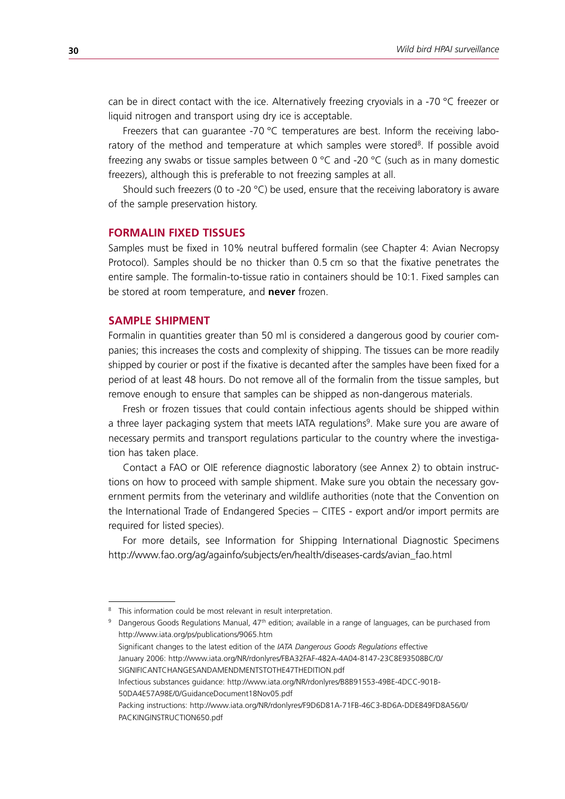can be in direct contact with the ice. Alternatively freezing cryovials in a -70 °C freezer or liquid nitrogen and transport using dry ice is acceptable.

Freezers that can guarantee -70 °C temperatures are best. Inform the receiving laboratory of the method and temperature at which samples were stored<sup>8</sup>. If possible avoid freezing any swabs or tissue samples between 0 °C and -20 °C (such as in many domestic freezers), although this is preferable to not freezing samples at all.

Should such freezers (0 to -20  $^{\circ}$ C) be used, ensure that the receiving laboratory is aware of the sample preservation history.

### **FORMALIN FIXED TISSUES**

Samples must be fixed in 10% neutral buffered formalin (see Chapter 4: Avian Necropsy Protocol). Samples should be no thicker than 0.5 cm so that the fixative penetrates the entire sample. The formalin-to-tissue ratio in containers should be 10:1. Fixed samples can be stored at room temperature, and **never** frozen.

### **SAMPLE SHIPMENT**

Formalin in quantities greater than 50 ml is considered a dangerous good by courier companies; this increases the costs and complexity of shipping. The tissues can be more readily shipped by courier or post if the fixative is decanted after the samples have been fixed for a period of at least 48 hours. Do not remove all of the formalin from the tissue samples, but remove enough to ensure that samples can be shipped as non-dangerous materials.

Fresh or frozen tissues that could contain infectious agents should be shipped within a three layer packaging system that meets IATA regulations<sup>9</sup>. Make sure you are aware of necessary permits and transport regulations particular to the country where the investigation has taken place.

Contact a FAO or OIE reference diagnostic laboratory (see Annex 2) to obtain instructions on how to proceed with sample shipment. Make sure you obtain the necessary government permits from the veterinary and wildlife authorities (note that the Convention on the International Trade of Endangered Species – CITES - export and/or import permits are required for listed species).

For more details, see Information for Shipping International Diagnostic Specimens http://www.fao.org/ag/againfo/subjects/en/health/diseases-cards/avian\_fao.html

<sup>&</sup>lt;sup>8</sup> This information could be most relevant in result interpretation.

<sup>9</sup> Dangerous Goods Regulations Manual, 47<sup>th</sup> edition; available in a range of languages, can be purchased from http://www.iata.org/ps/publications/9065.htm Significant changes to the latest edition of the *IATA Dangerous Goods Regulations* effective January 2006: http://www.iata.org/NR/rdonlyres/FBA32FAF-482A-4A04-8147-23C8E93508BC/0/ SIGNIFICANTCHANGESANDAMENDMENTSTOTHE47THEDITION.pdf Infectious substances guidance: http://www.iata.org/NR/rdonlyres/B8B91553-49BE-4DCC-901B-50DA4E57A98E/0/GuidanceDocument18Nov05.pdf

Packing instructions: http://www.iata.org/NR/rdonlyres/F9D6D81A-71FB-46C3-BD6A-DDE849FD8A56/0/ PACKINGINSTRUCTION650.pdf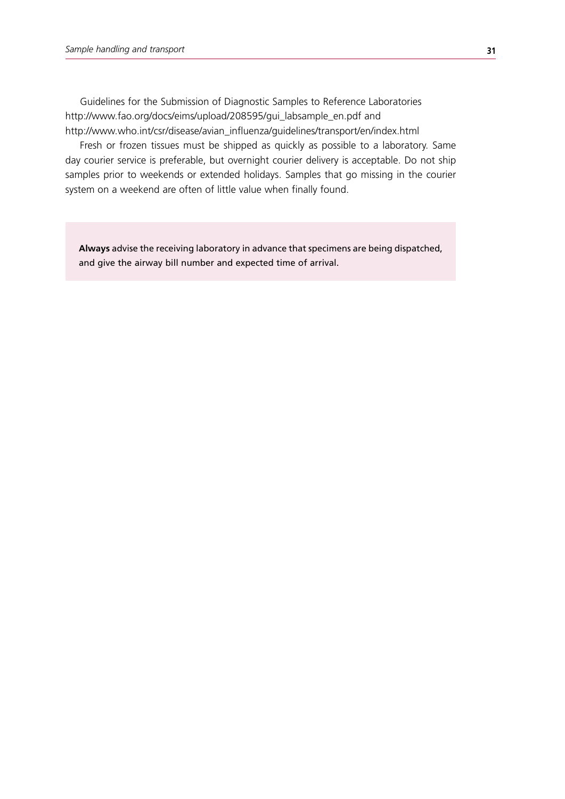Guidelines for the Submission of Diagnostic Samples to Reference Laboratories http://www.fao.org/docs/eims/upload/208595/gui\_labsample\_en.pdf and http://www.who.int/csr/disease/avian\_influenza/guidelines/transport/en/index.html

Fresh or frozen tissues must be shipped as quickly as possible to a laboratory. Same day courier service is preferable, but overnight courier delivery is acceptable. Do not ship samples prior to weekends or extended holidays. Samples that go missing in the courier system on a weekend are often of little value when finally found.

**Always** advise the receiving laboratory in advance that specimens are being dispatched, and give the airway bill number and expected time of arrival.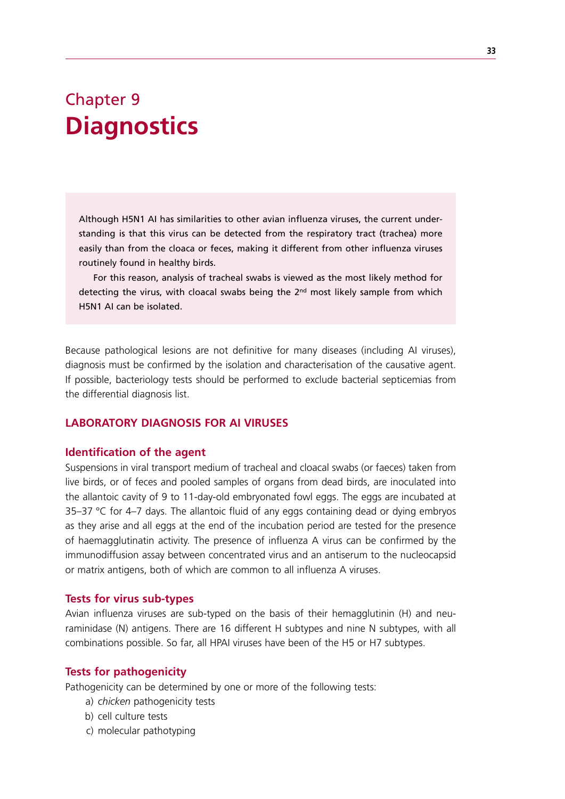### Chapter 9 **Diagnostics**

Although H5N1 AI has similarities to other avian influenza viruses, the current understanding is that this virus can be detected from the respiratory tract (trachea) more easily than from the cloaca or feces, making it different from other influenza viruses routinely found in healthy birds.

For this reason, analysis of tracheal swabs is viewed as the most likely method for detecting the virus, with cloacal swabs being the 2<sup>nd</sup> most likely sample from which H5N1 AI can be isolated.

Because pathological lesions are not definitive for many diseases (including AI viruses), diagnosis must be confirmed by the isolation and characterisation of the causative agent. If possible, bacteriology tests should be performed to exclude bacterial septicemias from the differential diagnosis list.

### **LABORATORY DIAGNOSIS FOR AI VIRUSES**

### **Identification of the agent**

Suspensions in viral transport medium of tracheal and cloacal swabs (or faeces) taken from live birds, or of feces and pooled samples of organs from dead birds, are inoculated into the allantoic cavity of 9 to 11-day-old embryonated fowl eggs. The eggs are incubated at 35–37 °C for 4–7 days. The allantoic fluid of any eggs containing dead or dying embryos as they arise and all eggs at the end of the incubation period are tested for the presence of haemagglutinatin activity. The presence of influenza A virus can be confirmed by the immunodiffusion assay between concentrated virus and an antiserum to the nucleocapsid or matrix antigens, both of which are common to all influenza A viruses.

### **Tests for virus sub-types**

Avian influenza viruses are sub-typed on the basis of their hemagglutinin (H) and neuraminidase (N) antigens. There are 16 different H subtypes and nine N subtypes, with all combinations possible. So far, all HPAI viruses have been of the H5 or H7 subtypes.

### **Tests for pathogenicity**

Pathogenicity can be determined by one or more of the following tests:

- a) *chicken* pathogenicity tests
- b) cell culture tests
- c) molecular pathotyping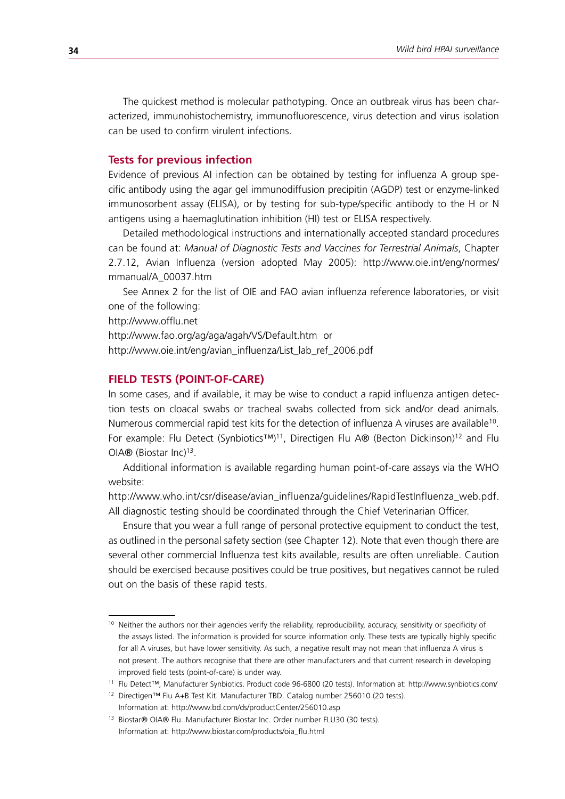The quickest method is molecular pathotyping. Once an outbreak virus has been characterized, immunohistochemistry, immunofluorescence, virus detection and virus isolation can be used to confirm virulent infections.

### **Tests for previous infection**

Evidence of previous AI infection can be obtained by testing for influenza A group specific antibody using the agar gel immunodiffusion precipitin (AGDP) test or enzyme-linked immunosorbent assay (ELISA), or by testing for sub-type/specific antibody to the H or N antigens using a haemaglutination inhibition (HI) test or ELISA respectively.

Detailed methodological instructions and internationally accepted standard procedures can be found at: *Manual of Diagnostic Tests and Vaccines for Terrestrial Animals*, Chapter 2.7.12, Avian Influenza (version adopted May 2005): http://www.oie.int/eng/normes/ mmanual/A\_00037.htm

See Annex 2 for the list of OIE and FAO avian influenza reference laboratories, or visit one of the following:

http://www.offlu.net

http://www.fao.org/ag/aga/agah/VS/Default.htm or

http://www.oie.int/eng/avian\_influenza/List\_lab\_ref\_2006.pdf

### **FIELD TESTS (POINT-OF-CARE)**

In some cases, and if available, it may be wise to conduct a rapid influenza antigen detection tests on cloacal swabs or tracheal swabs collected from sick and/or dead animals. Numerous commercial rapid test kits for the detection of influenza A viruses are available<sup>10</sup>. For example: Flu Detect (Synbiotics™)11, Directigen Flu A® (Becton Dickinson)12 and Flu OIA® (Biostar Inc)13.

Additional information is available regarding human point-of-care assays via the WHO website:

http://www.who.int/csr/disease/avian\_influenza/guidelines/RapidTestInfluenza\_web.pdf. All diagnostic testing should be coordinated through the Chief Veterinarian Officer.

Ensure that you wear a full range of personal protective equipment to conduct the test, as outlined in the personal safety section (see Chapter 12). Note that even though there are several other commercial Influenza test kits available, results are often unreliable. Caution should be exercised because positives could be true positives, but negatives cannot be ruled out on the basis of these rapid tests.

<sup>&</sup>lt;sup>10</sup> Neither the authors nor their agencies verify the reliability, reproducibility, accuracy, sensitivity or specificity of the assays listed. The information is provided for source information only. These tests are typically highly specific for all A viruses, but have lower sensitivity. As such, a negative result may not mean that influenza A virus is not present. The authors recognise that there are other manufacturers and that current research in developing improved field tests (point-of-care) is under way.

<sup>11</sup> Flu Detect™, Manufacturer Synbiotics. Product code 96-6800 (20 tests). Information at: http://www.synbiotics.com/

<sup>12</sup> Directigen™ Flu A+B Test Kit. Manufacturer TBD. Catalog number 256010 (20 tests). Information at: http://www.bd.com/ds/productCenter/256010.asp

<sup>13</sup> Biostar® OIA® Flu. Manufacturer Biostar Inc. Order number FLU30 (30 tests). Information at: http://www.biostar.com/products/oia\_flu.html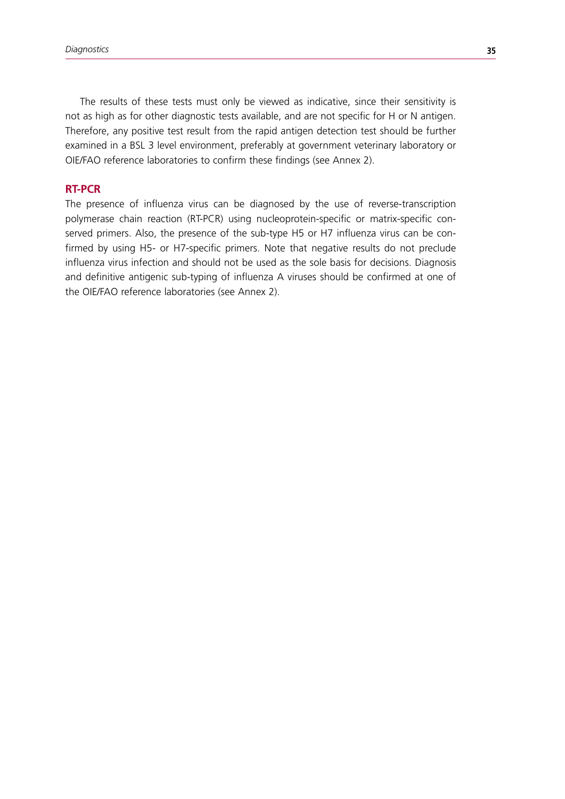The results of these tests must only be viewed as indicative, since their sensitivity is not as high as for other diagnostic tests available, and are not specific for H or N antigen. Therefore, any positive test result from the rapid antigen detection test should be further examined in a BSL 3 level environment, preferably at government veterinary laboratory or OIE/FAO reference laboratories to confirm these findings (see Annex 2).

### **RT-PCR**

The presence of influenza virus can be diagnosed by the use of reverse-transcription polymerase chain reaction (RT-PCR) using nucleoprotein-specific or matrix-specific conserved primers. Also, the presence of the sub-type H5 or H7 influenza virus can be confirmed by using H5- or H7-specific primers. Note that negative results do not preclude influenza virus infection and should not be used as the sole basis for decisions. Diagnosis and definitive antigenic sub-typing of influenza A viruses should be confirmed at one of the OIE/FAO reference laboratories (see Annex 2).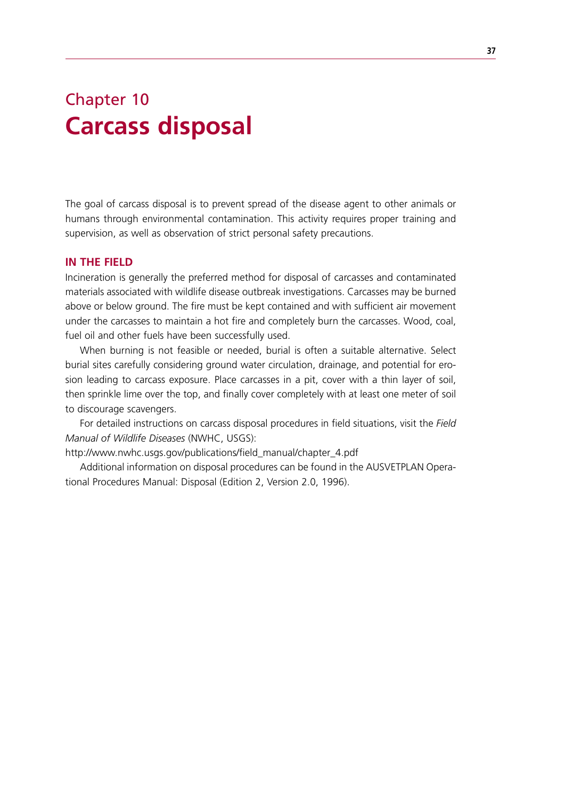### Chapter 10 **Carcass disposal**

The goal of carcass disposal is to prevent spread of the disease agent to other animals or humans through environmental contamination. This activity requires proper training and supervision, as well as observation of strict personal safety precautions.

### **IN THE FIELD**

Incineration is generally the preferred method for disposal of carcasses and contaminated materials associated with wildlife disease outbreak investigations. Carcasses may be burned above or below ground. The fire must be kept contained and with sufficient air movement under the carcasses to maintain a hot fire and completely burn the carcasses. Wood, coal, fuel oil and other fuels have been successfully used.

When burning is not feasible or needed, burial is often a suitable alternative. Select burial sites carefully considering ground water circulation, drainage, and potential for erosion leading to carcass exposure. Place carcasses in a pit, cover with a thin layer of soil, then sprinkle lime over the top, and finally cover completely with at least one meter of soil to discourage scavengers.

For detailed instructions on carcass disposal procedures in field situations, visit the *Field Manual of Wildlife Diseases* (NWHC, USGS):

http://www.nwhc.usgs.gov/publications/field\_manual/chapter\_4.pdf

Additional information on disposal procedures can be found in the AUSVETPLAN Operational Procedures Manual: Disposal (Edition 2, Version 2.0, 1996).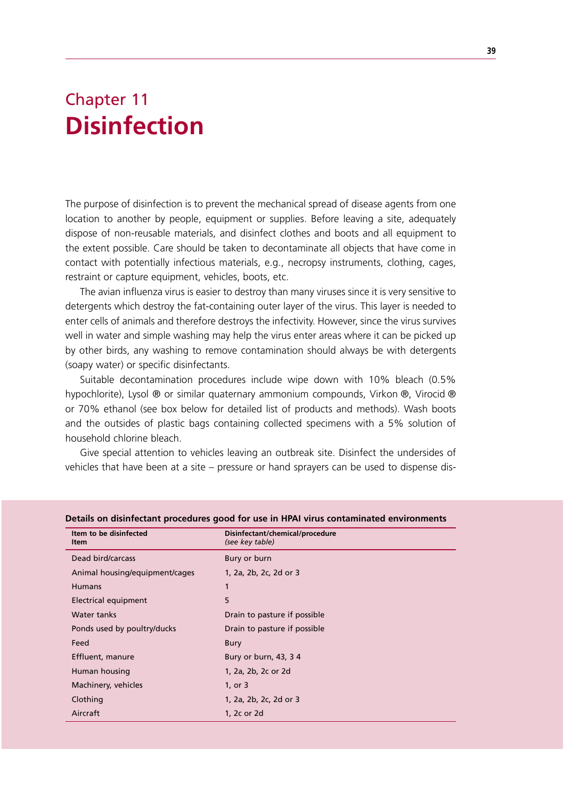### Chapter 11 **Disinfection**

The purpose of disinfection is to prevent the mechanical spread of disease agents from one location to another by people, equipment or supplies. Before leaving a site, adequately dispose of non-reusable materials, and disinfect clothes and boots and all equipment to the extent possible. Care should be taken to decontaminate all objects that have come in contact with potentially infectious materials, e.g., necropsy instruments, clothing, cages, restraint or capture equipment, vehicles, boots, etc.

The avian influenza virus is easier to destroy than many viruses since it is very sensitive to detergents which destroy the fat-containing outer layer of the virus. This layer is needed to enter cells of animals and therefore destroys the infectivity. However, since the virus survives well in water and simple washing may help the virus enter areas where it can be picked up by other birds, any washing to remove contamination should always be with detergents (soapy water) or specific disinfectants.

Suitable decontamination procedures include wipe down with 10% bleach (0.5% hypochlorite), Lysol ® or similar quaternary ammonium compounds, Virkon ®, Virocid ® or 70% ethanol (see box below for detailed list of products and methods). Wash boots and the outsides of plastic bags containing collected specimens with a 5% solution of household chlorine bleach.

Give special attention to vehicles leaving an outbreak site. Disinfect the undersides of vehicles that have been at a site – pressure or hand sprayers can be used to dispense dis-

| Item to be disinfected<br><b>Item</b> | Disinfectant/chemical/procedure<br>(see key table) |
|---------------------------------------|----------------------------------------------------|
| Dead bird/carcass                     | Bury or burn                                       |
| Animal housing/equipment/cages        | 1, 2a, 2b, 2c, 2d or 3                             |
| <b>Humans</b>                         | 1                                                  |
| Electrical equipment                  | 5                                                  |
| Water tanks                           | Drain to pasture if possible                       |
| Ponds used by poultry/ducks           | Drain to pasture if possible                       |
| Feed                                  | Bury                                               |
| Effluent, manure                      | Bury or burn, 43, 34                               |
| Human housing                         | 1, 2a, 2b, 2c or 2d                                |
| Machinery, vehicles                   | 1, or 3                                            |
| Clothing                              | 1, 2a, 2b, 2c, 2d or 3                             |
| Aircraft                              | 1, 2c or 2d                                        |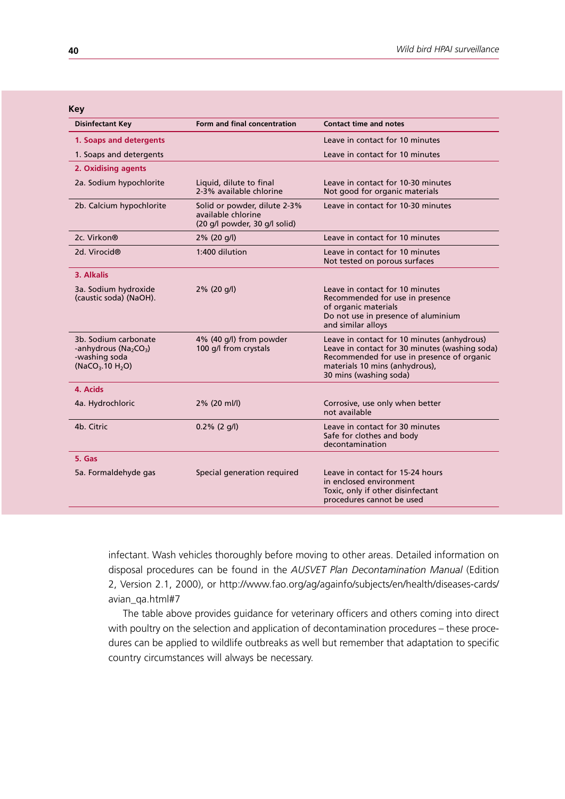| <b>Disinfectant Key</b>                                                                                      | Form and final concentration                                                        | <b>Contact time and notes</b>                                                                                                                                                                           |
|--------------------------------------------------------------------------------------------------------------|-------------------------------------------------------------------------------------|---------------------------------------------------------------------------------------------------------------------------------------------------------------------------------------------------------|
| 1. Soaps and detergents                                                                                      |                                                                                     | Leave in contact for 10 minutes                                                                                                                                                                         |
| 1. Soaps and detergents                                                                                      |                                                                                     | Leave in contact for 10 minutes                                                                                                                                                                         |
| 2. Oxidising agents                                                                                          |                                                                                     |                                                                                                                                                                                                         |
| 2a. Sodium hypochlorite                                                                                      | Liquid, dilute to final<br>2-3% available chlorine                                  | Leave in contact for 10-30 minutes<br>Not good for organic materials                                                                                                                                    |
| 2b. Calcium hypochlorite                                                                                     | Solid or powder, dilute 2-3%<br>available chlorine<br>(20 g/l powder, 30 g/l solid) | Leave in contact for 10-30 minutes                                                                                                                                                                      |
| 2c. Virkon®                                                                                                  | $2\%$ (20 g/l)                                                                      | Leave in contact for 10 minutes                                                                                                                                                                         |
| 2d. Virocid <sup>®</sup>                                                                                     | 1:400 dilution                                                                      | Leave in contact for 10 minutes<br>Not tested on porous surfaces                                                                                                                                        |
| 3. Alkalis                                                                                                   |                                                                                     |                                                                                                                                                                                                         |
| 3a. Sodium hydroxide<br>(caustic soda) (NaOH).                                                               | $2\%$ (20 g/l)                                                                      | Leave in contact for 10 minutes<br>Recommended for use in presence<br>of organic materials<br>Do not use in presence of aluminium<br>and similar alloys                                                 |
| 3b. Sodium carbonate<br>-anhydrous ( $Na2CO3$ )<br>-washing soda<br>(NaCO <sub>3</sub> .10 H <sub>2</sub> O) | 4% (40 g/l) from powder<br>100 g/l from crystals                                    | Leave in contact for 10 minutes (anhydrous)<br>Leave in contact for 30 minutes (washing soda)<br>Recommended for use in presence of organic<br>materials 10 mins (anhydrous),<br>30 mins (washing soda) |
| 4. Acids                                                                                                     |                                                                                     |                                                                                                                                                                                                         |
| 4a. Hydrochloric                                                                                             | 2% (20 ml/l)                                                                        | Corrosive, use only when better<br>not available                                                                                                                                                        |
| 4b. Citric                                                                                                   | $0.2\%$ (2 g/l)                                                                     | Leave in contact for 30 minutes<br>Safe for clothes and body<br>decontamination                                                                                                                         |
| 5. Gas                                                                                                       |                                                                                     |                                                                                                                                                                                                         |
| 5a. Formaldehyde gas                                                                                         | Special generation required                                                         | Leave in contact for 15-24 hours<br>in enclosed environment<br>Toxic, only if other disinfectant<br>procedures cannot be used                                                                           |

infectant. Wash vehicles thoroughly before moving to other areas. Detailed information on disposal procedures can be found in the *AUSVET Plan Decontamination Manual* (Edition 2, Version 2.1, 2000), or http://www.fao.org/ag/againfo/subjects/en/health/diseases-cards/ avian\_qa.html#7

The table above provides guidance for veterinary officers and others coming into direct with poultry on the selection and application of decontamination procedures – these procedures can be applied to wildlife outbreaks as well but remember that adaptation to specific country circumstances will always be necessary.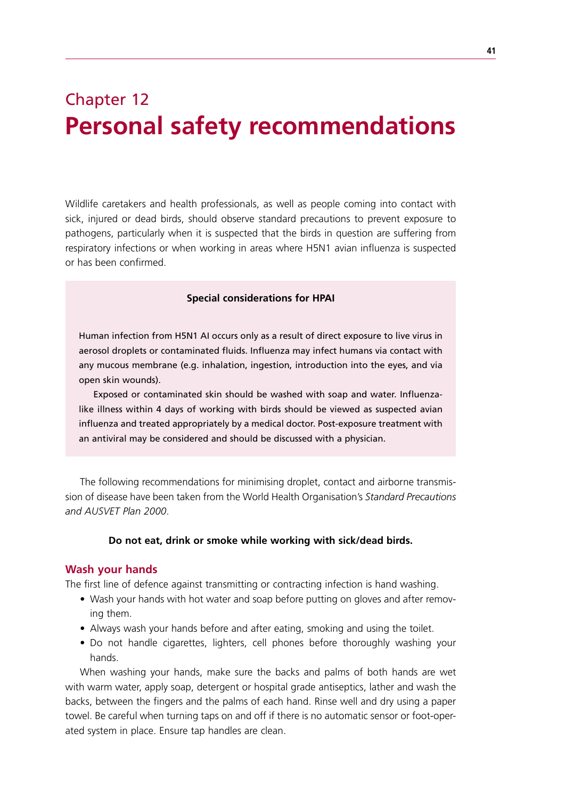### Chapter 12 **Personal safety recommendations**

Wildlife caretakers and health professionals, as well as people coming into contact with sick, injured or dead birds, should observe standard precautions to prevent exposure to pathogens, particularly when it is suspected that the birds in question are suffering from respiratory infections or when working in areas where H5N1 avian influenza is suspected or has been confirmed.

#### **Special considerations for HPAI**

Human infection from H5N1 AI occurs only as a result of direct exposure to live virus in aerosol droplets or contaminated fluids. Influenza may infect humans via contact with any mucous membrane (e.g. inhalation, ingestion, introduction into the eyes, and via open skin wounds).

Exposed or contaminated skin should be washed with soap and water. Influenzalike illness within 4 days of working with birds should be viewed as suspected avian influenza and treated appropriately by a medical doctor. Post-exposure treatment with an antiviral may be considered and should be discussed with a physician.

The following recommendations for minimising droplet, contact and airborne transmission of disease have been taken from the World Health Organisation's *Standard Precautions and AUSVET Plan 2000*.

#### **Do not eat, drink or smoke while working with sick/dead birds.**

### **Wash your hands**

The first line of defence against transmitting or contracting infection is hand washing.

- Wash your hands with hot water and soap before putting on gloves and after removing them.
- Always wash your hands before and after eating, smoking and using the toilet.
- Do not handle cigarettes, lighters, cell phones before thoroughly washing your hands.

When washing your hands, make sure the backs and palms of both hands are wet with warm water, apply soap, detergent or hospital grade antiseptics, lather and wash the backs, between the fingers and the palms of each hand. Rinse well and dry using a paper towel. Be careful when turning taps on and off if there is no automatic sensor or foot-operated system in place. Ensure tap handles are clean.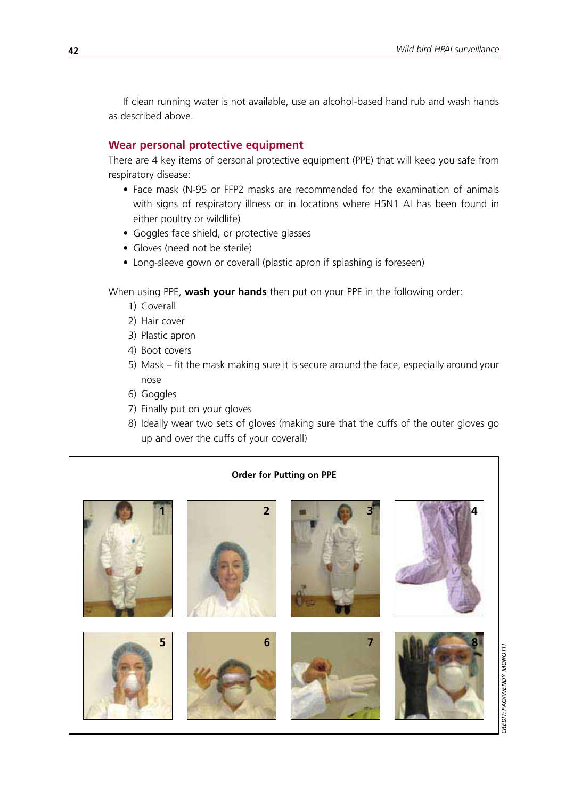If clean running water is not available, use an alcohol-based hand rub and wash hands as described above.

### **Wear personal protective equipment**

There are 4 key items of personal protective equipment (PPE) that will keep you safe from respiratory disease:

- Face mask (N-95 or FFP2 masks are recommended for the examination of animals with signs of respiratory illness or in locations where H5N1 AI has been found in either poultry or wildlife)
- Goggles face shield, or protective glasses
- Gloves (need not be sterile)
- Long-sleeve gown or coverall (plastic apron if splashing is foreseen)

When using PPE, **wash your hands** then put on your PPE in the following order:

- 1) Coverall
- 2) Hair cover
- 3) Plastic apron
- 4) Boot covers
- 5) Mask fit the mask making sure it is secure around the face, especially around your nose
- 6) Goggles
- 7) Finally put on your gloves
- 8) Ideally wear two sets of gloves (making sure that the cuffs of the outer gloves go up and over the cuffs of your coverall)

### **Order for Putting on PPE**

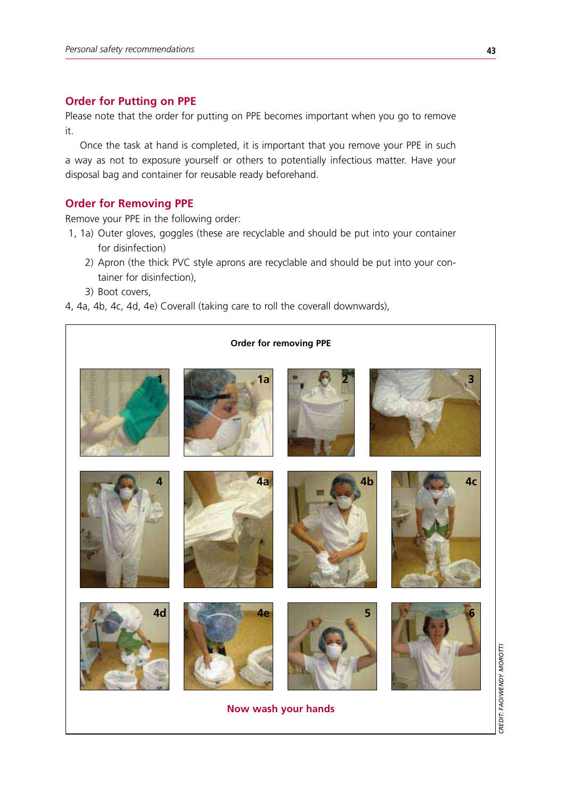### **Order for Putting on PPE**

Please note that the order for putting on PPE becomes important when you go to remove it.

Once the task at hand is completed, it is important that you remove your PPE in such a way as not to exposure yourself or others to potentially infectious matter. Have your disposal bag and container for reusable ready beforehand.

### **Order for Removing PPE**

Remove your PPE in the following order:

- 1, 1a) Outer gloves, goggles (these are recyclable and should be put into your container for disinfection)
	- 2) Apron (the thick PVC style aprons are recyclable and should be put into your container for disinfection),

**Order for removing PPE**

- 3) Boot covers,
- 4, 4a, 4b, 4c, 4d, 4e) Coverall (taking care to roll the coverall downwards),



**Now wash your hands**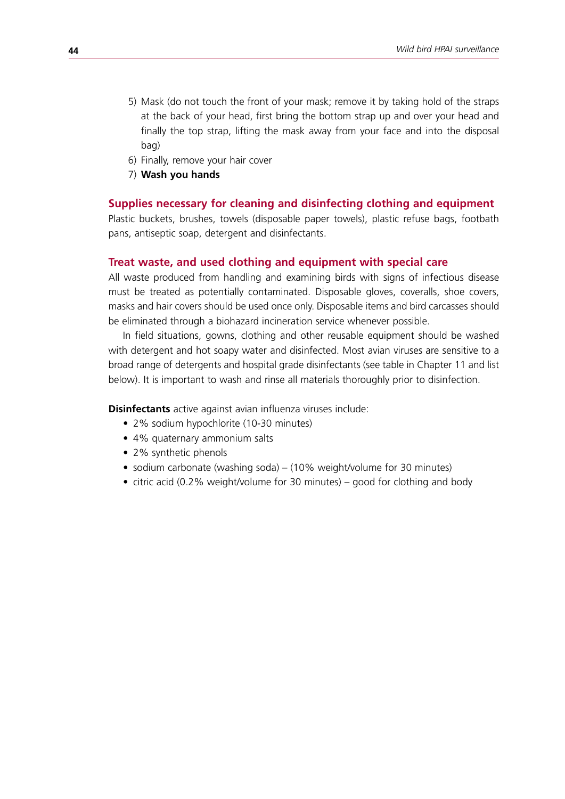- 5) Mask (do not touch the front of your mask; remove it by taking hold of the straps at the back of your head, first bring the bottom strap up and over your head and finally the top strap, lifting the mask away from your face and into the disposal bag)
- 6) Finally, remove your hair cover
- 7) **Wash you hands**

### **Supplies necessary for cleaning and disinfecting clothing and equipment**

Plastic buckets, brushes, towels (disposable paper towels), plastic refuse bags, footbath pans, antiseptic soap, detergent and disinfectants.

### **Treat waste, and used clothing and equipment with special care**

All waste produced from handling and examining birds with signs of infectious disease must be treated as potentially contaminated. Disposable gloves, coveralls, shoe covers, masks and hair covers should be used once only. Disposable items and bird carcasses should be eliminated through a biohazard incineration service whenever possible.

In field situations, gowns, clothing and other reusable equipment should be washed with detergent and hot soapy water and disinfected. Most avian viruses are sensitive to a broad range of detergents and hospital grade disinfectants (see table in Chapter 11 and list below). It is important to wash and rinse all materials thoroughly prior to disinfection.

**Disinfectants** active against avian influenza viruses include:

- 2% sodium hypochlorite (10-30 minutes)
- 4% quaternary ammonium salts
- 2% synthetic phenols
- sodium carbonate (washing soda) (10% weight/volume for 30 minutes)
- citric acid (0.2% weight/volume for 30 minutes) good for clothing and body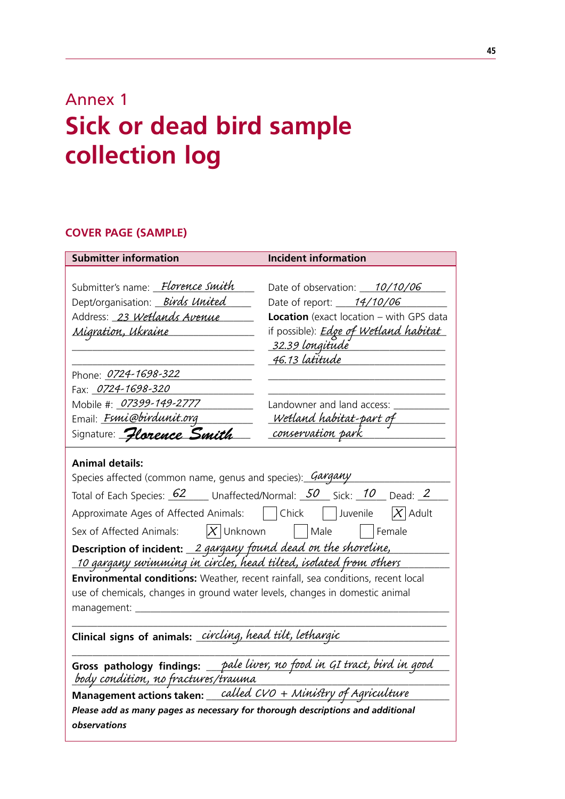# Annex 1 **Sick or dead bird sample collection log**

### **COVER PAGE (SAMPLE)**

| <b>Submitter information</b>                                                                                                                                                                                                                                                                                                                                                                                                                                                                                                                                                 | <b>Incident information</b>                     |
|------------------------------------------------------------------------------------------------------------------------------------------------------------------------------------------------------------------------------------------------------------------------------------------------------------------------------------------------------------------------------------------------------------------------------------------------------------------------------------------------------------------------------------------------------------------------------|-------------------------------------------------|
|                                                                                                                                                                                                                                                                                                                                                                                                                                                                                                                                                                              |                                                 |
| Submitter's name: Florence Swith                                                                                                                                                                                                                                                                                                                                                                                                                                                                                                                                             | Date of observation: 10/10/06                   |
| Dept/organisation: Birds United                                                                                                                                                                                                                                                                                                                                                                                                                                                                                                                                              | Date of report: 14/10/06                        |
| Address: 23 Wetlands Avenue                                                                                                                                                                                                                                                                                                                                                                                                                                                                                                                                                  | <b>Location</b> (exact location – with GPS data |
| <u>Migration, Ukraine</u>                                                                                                                                                                                                                                                                                                                                                                                                                                                                                                                                                    | if possible): <i>Edge of Wetland habitat</i>    |
|                                                                                                                                                                                                                                                                                                                                                                                                                                                                                                                                                                              | <u>32.39 longitude</u>                          |
|                                                                                                                                                                                                                                                                                                                                                                                                                                                                                                                                                                              | 46.13 latitude                                  |
| Phone: 0724-1698-322                                                                                                                                                                                                                                                                                                                                                                                                                                                                                                                                                         |                                                 |
| Fax: 0724-1698-320                                                                                                                                                                                                                                                                                                                                                                                                                                                                                                                                                           |                                                 |
| Mobile #: 07399-149-2777<br>Email: <i>Fsmi@birdunit.org</i>                                                                                                                                                                                                                                                                                                                                                                                                                                                                                                                  | Landowner and land access:                      |
|                                                                                                                                                                                                                                                                                                                                                                                                                                                                                                                                                                              | <u>Wetland habitat-part of </u>                 |
| Signature: <i>Horence Smith</i>                                                                                                                                                                                                                                                                                                                                                                                                                                                                                                                                              | <u>conservation park</u>                        |
| <b>Animal details:</b><br>Species affected (common name, genus and species): Gargany<br>Total of Each Species: 62 ____ Unaffected/Normal: 50 __ Sick: 10 __ Dead: 2<br>Sex of Affected Animals: $ \chi $ Unknown $ $   Male<br>Description of incident: <i>_2 gargany found dead on the shoreline,</i><br><u>10 gargany surimming in circles, head tilted, isolated from others</u><br>Environmental conditions: Weather, recent rainfall, sea conditions, recent local<br>use of chemicals, changes in ground water levels, changes in domestic animal<br>management: _____ | Female                                          |
| Clinical signs of animals: <i>circling, head tilt, lethargic</i><br>Gross pathology findings: pale liver, no food in GI tract, bird in good<br>body condition, no fractures/trauma                                                                                                                                                                                                                                                                                                                                                                                           |                                                 |
| Management actions taken: <i>___ called CVO + Ministry of Agriculture</i>                                                                                                                                                                                                                                                                                                                                                                                                                                                                                                    |                                                 |
| Please add as many pages as necessary for thorough descriptions and additional                                                                                                                                                                                                                                                                                                                                                                                                                                                                                               |                                                 |
| observations                                                                                                                                                                                                                                                                                                                                                                                                                                                                                                                                                                 |                                                 |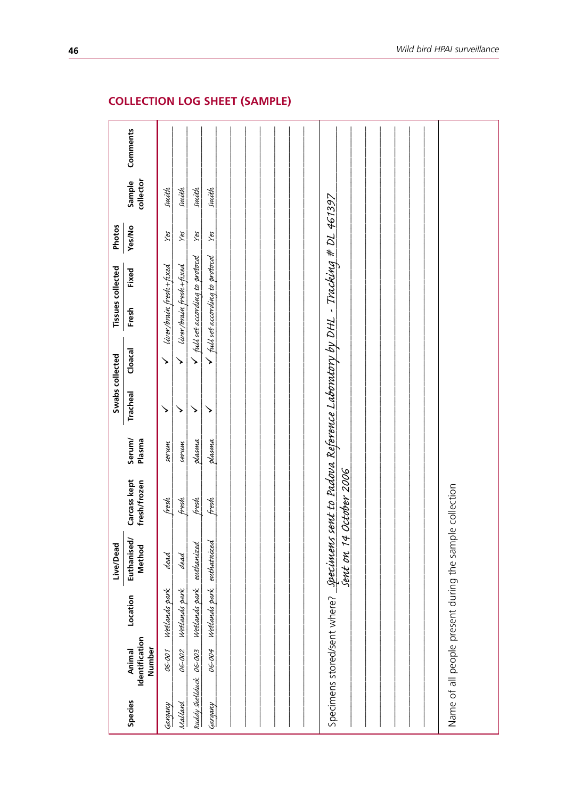|         |                                    |                                                         | Live/Dead             |                                                                                                                                                  |                  | Swabs collected |                          |                                  | <b>Tissues collected</b> | Photos        |                     |          |
|---------|------------------------------------|---------------------------------------------------------|-----------------------|--------------------------------------------------------------------------------------------------------------------------------------------------|------------------|-----------------|--------------------------|----------------------------------|--------------------------|---------------|---------------------|----------|
| Species | Identification<br>Number<br>Animal | Location                                                | Euthanised/<br>Method | fresh/frozen<br>Carcass kept                                                                                                                     | Plasma<br>Serum/ | <b>Tracheal</b> | Cloacal                  | Fresh                            | Fixed                    | <b>Yes/No</b> | Sample<br>collector | Comments |
| Gargany | 06-001                             | wetlands park                                           | dead                  | fresh                                                                                                                                            | serrun           | ↘               | ↘                        | liver/brain fresh+fixed          |                          | Yes           | smith               |          |
| Mallard | 06-002                             | wetlands park                                           | dead                  | fresh                                                                                                                                            | serum            | ↘               | ↘                        | Liver/brain fresh+fixed          |                          | Yes           | smith               |          |
|         | Ruddy shellduck 06-003             | Wetlands park enthanized                                |                       | fresh                                                                                                                                            | plasma           | ↘               | $\overline{\phantom{0}}$ | full set according to protocol   |                          | Yes           | smith               |          |
| Gargary | 06-004                             | Wetlands park euthatnized                               |                       | fresh                                                                                                                                            | plasma           | ↘               |                          | V full set according to protocol |                          | Yes           | smith               |          |
|         |                                    |                                                         | sent on 1             | Specimens stored/sent where? <i>_S<b>pecimens sent to Padova Reference Laboratory by DHL - Tracking # DL 461397</b></i><br><u>4 October 2006</u> |                  |                 |                          |                                  |                          |               |                     |          |
|         |                                    |                                                         |                       |                                                                                                                                                  |                  |                 |                          |                                  |                          |               |                     |          |
|         |                                    | Name of all people present during the sample collection |                       |                                                                                                                                                  |                  |                 |                          |                                  |                          |               |                     |          |

### **COLLECTION LOG SHEET (SAMPLE)**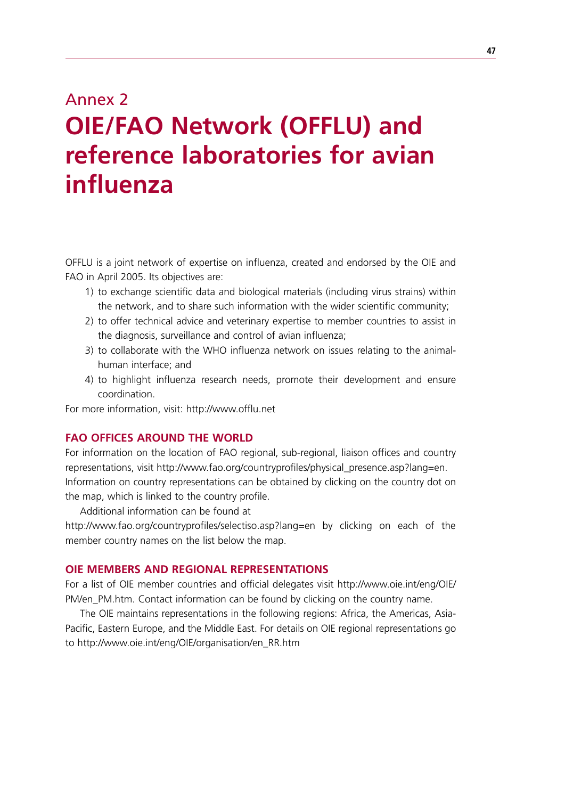## Annex 2 **OIE/FAO Network (OFFLU) and reference laboratories for avian influenza**

OFFLU is a joint network of expertise on influenza, created and endorsed by the OIE and FAO in April 2005. Its objectives are:

- 1) to exchange scientific data and biological materials (including virus strains) within the network, and to share such information with the wider scientific community;
- 2) to offer technical advice and veterinary expertise to member countries to assist in the diagnosis, surveillance and control of avian influenza;
- 3) to collaborate with the WHO influenza network on issues relating to the animalhuman interface; and
- 4) to highlight influenza research needs, promote their development and ensure coordination.

For more information, visit: http://www.offlu.net

### **FAO OFFICES AROUND THE WORLD**

For information on the location of FAO regional, sub-regional, liaison offices and country representations, visit http://www.fao.org/countryprofiles/physical\_presence.asp?lang=en. Information on country representations can be obtained by clicking on the country dot on the map, which is linked to the country profile.

Additional information can be found at

http://www.fao.org/countryprofiles/selectiso.asp?lang=en by clicking on each of the member country names on the list below the map.

### **OIE MEMBERS AND REGIONAL REPRESENTATIONS**

For a list of OIE member countries and official delegates visit http://www.oie.int/eng/OIE/ PM/en PM.htm. Contact information can be found by clicking on the country name.

The OIE maintains representations in the following regions: Africa, the Americas, Asia-Pacific, Eastern Europe, and the Middle East. For details on OIE regional representations go to http://www.oie.int/eng/OIE/organisation/en\_RR.htm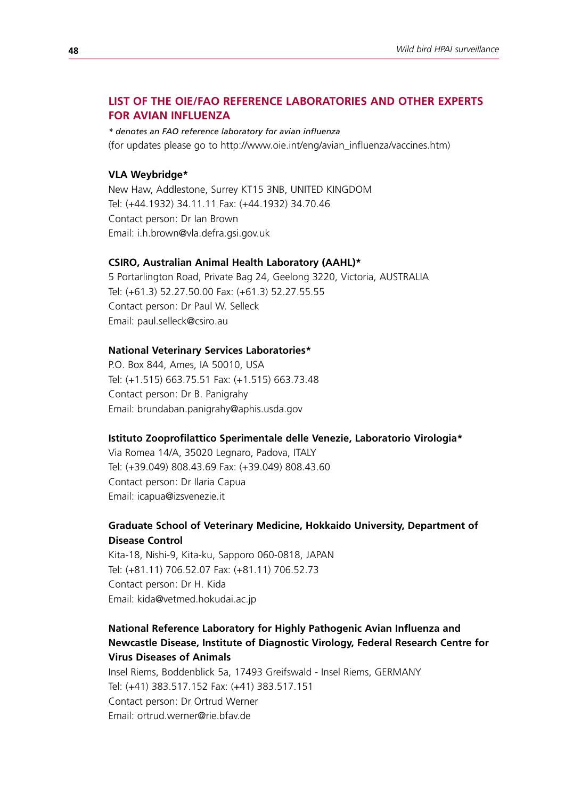### **LIST OF THE OIE/FAO REFERENCE LABORATORIES AND OTHER EXPERTS FOR AVIAN INFLUENZA**

*\* denotes an FAO reference laboratory for avian influenza* (for updates please go to http://www.oie.int/eng/avian\_influenza/vaccines.htm)

### **VLA Weybridge\***

New Haw, Addlestone, Surrey KT15 3NB, UNITED KINGDOM Tel: (+44.1932) 34.11.11 Fax: (+44.1932) 34.70.46 Contact person: Dr Ian Brown Email: i.h.brown@vla.defra.gsi.gov.uk

### **CSIRO, Australian Animal Health Laboratory (AAHL)\***

5 Portarlington Road, Private Bag 24, Geelong 3220, Victoria, AUSTRALIA Tel: (+61.3) 52.27.50.00 Fax: (+61.3) 52.27.55.55 Contact person: Dr Paul W. Selleck Email: paul.selleck@csiro.au

### **National Veterinary Services Laboratories\***

P.O. Box 844, Ames, IA 50010, USA Tel: (+1.515) 663.75.51 Fax: (+1.515) 663.73.48 Contact person: Dr B. Panigrahy Email: brundaban.panigrahy@aphis.usda.gov

### **Istituto Zooprofilattico Sperimentale delle Venezie, Laboratorio Virologia\***

Via Romea 14/A, 35020 Legnaro, Padova, ITALY Tel: (+39.049) 808.43.69 Fax: (+39.049) 808.43.60 Contact person: Dr Ilaria Capua Email: icapua@izsvenezie.it

### **Graduate School of Veterinary Medicine, Hokkaido University, Department of Disease Control**

Kita-18, Nishi-9, Kita-ku, Sapporo 060-0818, JAPAN Tel: (+81.11) 706.52.07 Fax: (+81.11) 706.52.73 Contact person: Dr H. Kida Email: kida@vetmed.hokudai.ac.jp

### **National Reference Laboratory for Highly Pathogenic Avian Influenza and Newcastle Disease, Institute of Diagnostic Virology, Federal Research Centre for Virus Diseases of Animals**

Insel Riems, Boddenblick 5a, 17493 Greifswald - Insel Riems, GERMANY Tel: (+41) 383.517.152 Fax: (+41) 383.517.151 Contact person: Dr Ortrud Werner Email: ortrud.werner@rie.bfav.de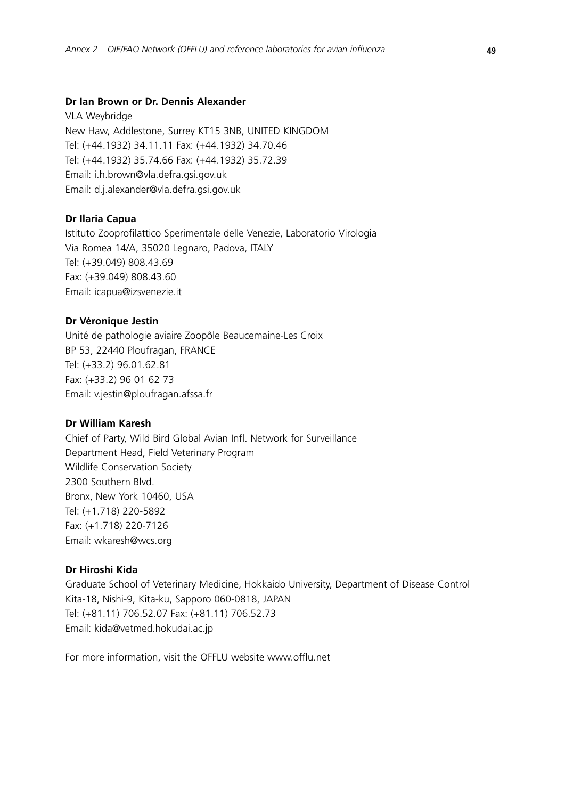### **Dr Ian Brown or Dr. Dennis Alexander**

VLA Weybridge New Haw, Addlestone, Surrey KT15 3NB, UNITED KINGDOM Tel: (+44.1932) 34.11.11 Fax: (+44.1932) 34.70.46 Tel: (+44.1932) 35.74.66 Fax: (+44.1932) 35.72.39 Email: i.h.brown@vla.defra.gsi.gov.uk Email: d.j.alexander@vla.defra.gsi.gov.uk

#### **Dr Ilaria Capua**

Istituto Zooprofilattico Sperimentale delle Venezie, Laboratorio Virologia Via Romea 14/A, 35020 Legnaro, Padova, ITALY Tel: (+39.049) 808.43.69 Fax: (+39.049) 808.43.60 Email: icapua@izsvenezie.it

#### **Dr Véronique Jestin**

Unité de pathologie aviaire Zoopôle Beaucemaine-Les Croix BP 53, 22440 Ploufragan, FRANCE Tel: (+33.2) 96.01.62.81 Fax: (+33.2) 96 01 62 73 Email: v.jestin@ploufragan.afssa.fr

### **Dr William Karesh**

Chief of Party, Wild Bird Global Avian Infl. Network for Surveillance Department Head, Field Veterinary Program Wildlife Conservation Society 2300 Southern Blvd. Bronx, New York 10460, USA Tel: (+1.718) 220-5892 Fax: (+1.718) 220-7126 Email: wkaresh@wcs.org

#### **Dr Hiroshi Kida**

Graduate School of Veterinary Medicine, Hokkaido University, Department of Disease Control Kita-18, Nishi-9, Kita-ku, Sapporo 060-0818, JAPAN Tel: (+81.11) 706.52.07 Fax: (+81.11) 706.52.73 Email: kida@vetmed.hokudai.ac.jp

For more information, visit the OFFLU website www.offlu.net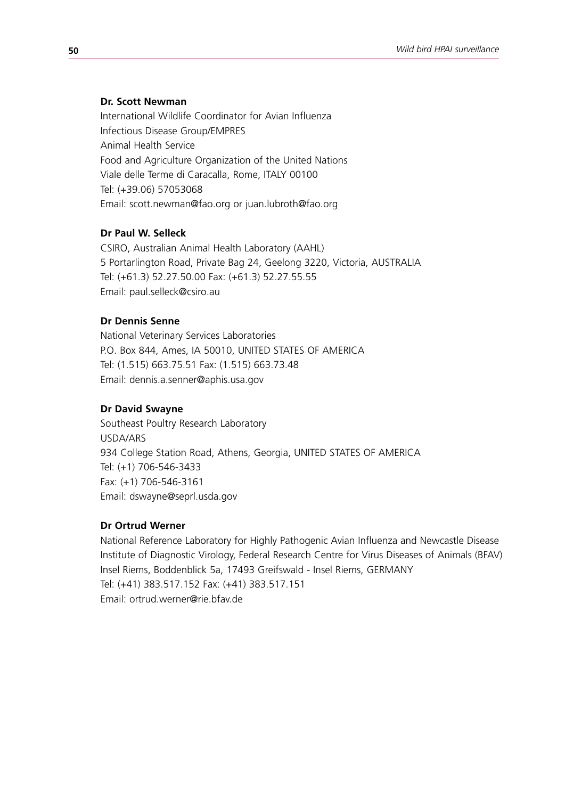### **Dr. Scott Newman**

International Wildlife Coordinator for Avian Influenza Infectious Disease Group/EMPRES Animal Health Service Food and Agriculture Organization of the United Nations Viale delle Terme di Caracalla, Rome, ITALY 00100 Tel: (+39.06) 57053068 Email: scott.newman@fao.org or juan.lubroth@fao.org

### **Dr Paul W. Selleck**

CSIRO, Australian Animal Health Laboratory (AAHL) 5 Portarlington Road, Private Bag 24, Geelong 3220, Victoria, AUSTRALIA Tel: (+61.3) 52.27.50.00 Fax: (+61.3) 52.27.55.55 Email: paul.selleck@csiro.au

### **Dr Dennis Senne**

National Veterinary Services Laboratories P.O. Box 844, Ames, IA 50010, UNITED STATES OF AMERICA Tel: (1.515) 663.75.51 Fax: (1.515) 663.73.48 Email: dennis.a.senner@aphis.usa.gov

### **Dr David Swayne**

Southeast Poultry Research Laboratory USDA/ARS 934 College Station Road, Athens, Georgia, UNITED STATES OF AMERICA Tel: (+1) 706-546-3433 Fax: (+1) 706-546-3161 Email: dswayne@seprl.usda.gov

### **Dr Ortrud Werner**

National Reference Laboratory for Highly Pathogenic Avian Influenza and Newcastle Disease Institute of Diagnostic Virology, Federal Research Centre for Virus Diseases of Animals (BFAV) Insel Riems, Boddenblick 5a, 17493 Greifswald - Insel Riems, GERMANY Tel: (+41) 383.517.152 Fax: (+41) 383.517.151 Email: ortrud.werner@rie.bfav.de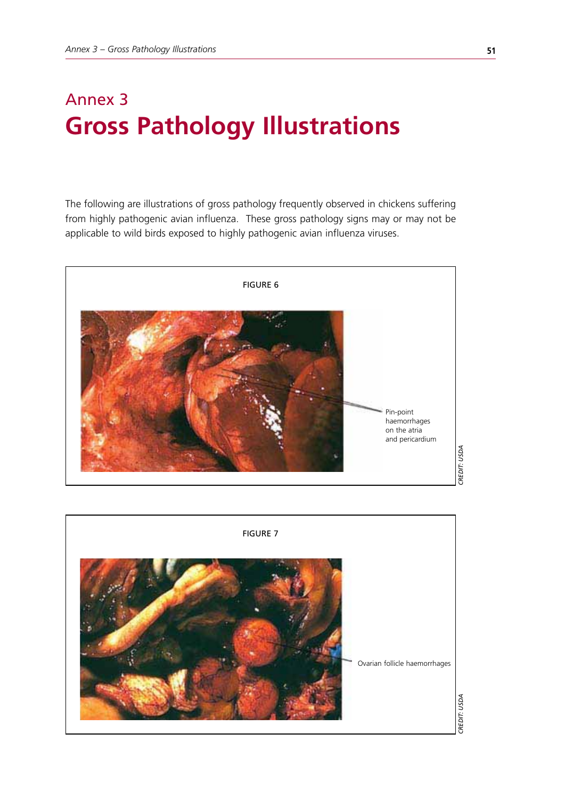### Annex 3 **Gross Pathology Illustrations**

The following are illustrations of gross pathology frequently observed in chickens suffering from highly pathogenic avian influenza. These gross pathology signs may or may not be applicable to wild birds exposed to highly pathogenic avian influenza viruses.



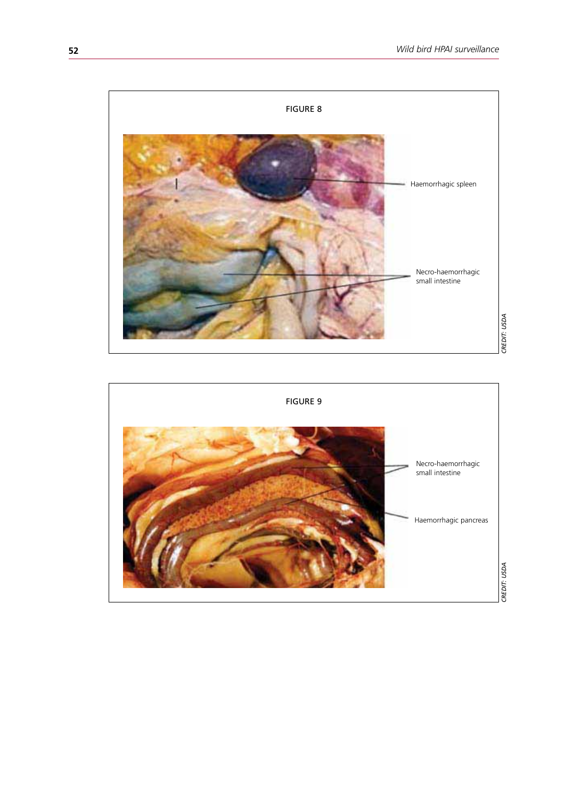

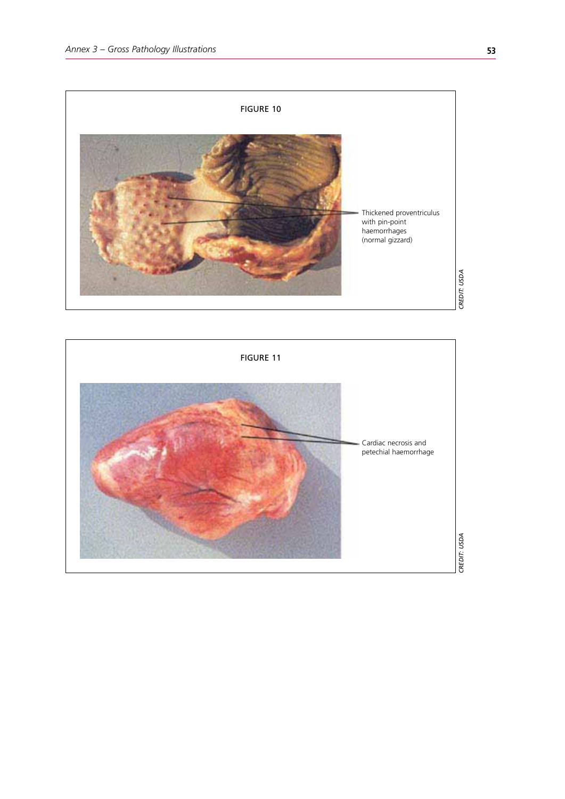

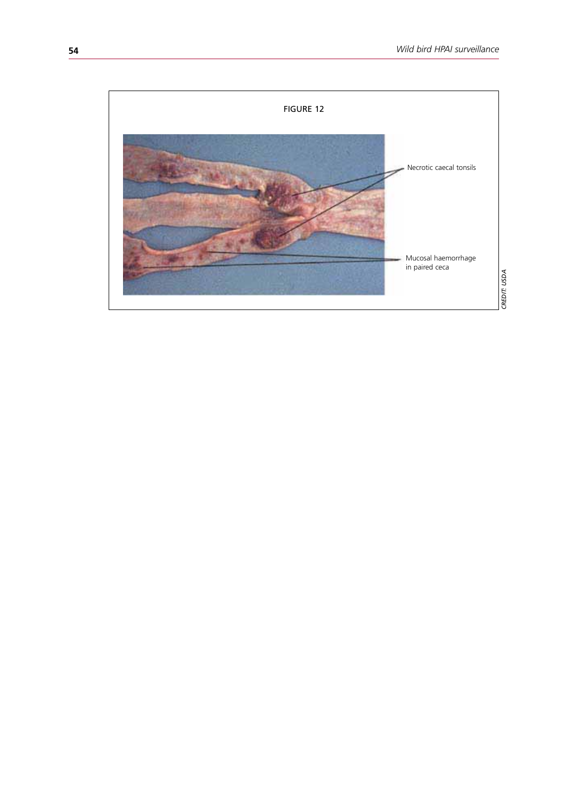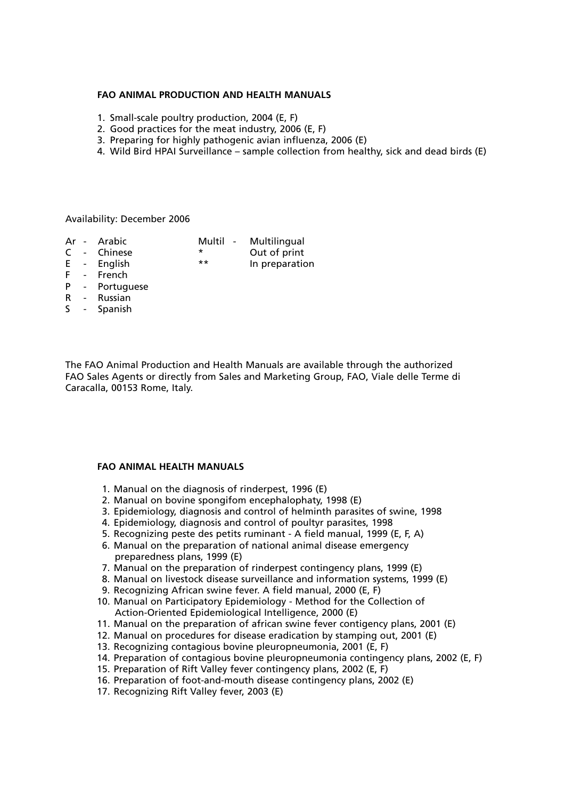#### **FAO ANIMAL PRODUCTION AND HEALTH MANUALS**

- 1. Small-scale poultry production, 2004 (E, F)
- 2. Good practices for the meat industry, 2006 (E, F)
- 3. Preparing for highly pathogenic avian influenza, 2006 (E)
- 4. Wild Bird HPAI Surveillance sample collection from healthy, sick and dead birds (E)

Availability: December 2006

- Ar Arabic Multil Multilingual
- C Chinese \* Out of print
- E English \*\* In preparation
- F French
- P Portuguese
- R Russian
- S Spanish

The FAO Animal Production and Health Manuals are available through the authorized FAO Sales Agents or directly from Sales and Marketing Group, FAO, Viale delle Terme di Caracalla, 00153 Rome, Italy.

#### **FAO ANIMAL HEALTH MANUALS**

- 1. Manual on the diagnosis of rinderpest, 1996 (E)
- 2. Manual on bovine spongifom encephalophaty, 1998 (E)
- 3. Epidemiology, diagnosis and control of helminth parasites of swine, 1998
- 4. Epidemiology, diagnosis and control of poultyr parasites, 1998
- 5. Recognizing peste des petits ruminant A field manual, 1999 (E, F, A)
- 6. Manual on the preparation of national animal disease emergency preparedness plans, 1999 (E)
- 7. Manual on the preparation of rinderpest contingency plans, 1999 (E)
- 8. Manual on livestock disease surveillance and information systems, 1999 (E)
- 9. Recognizing African swine fever. A field manual, 2000 (E, F)
- 10. Manual on Participatory Epidemiology Method for the Collection of Action-Oriented Epidemiological Intelligence, 2000 (E)
- 11. Manual on the preparation of african swine fever contigency plans, 2001 (E)
- 12. Manual on procedures for disease eradication by stamping out, 2001 (E)
- 13. Recognizing contagious bovine pleuropneumonia, 2001 (E, F)
- 14. Preparation of contagious bovine pleuropneumonia contingency plans, 2002 (E, F)
- 15. Preparation of Rift Valley fever contingency plans, 2002 (E, F)
- 16. Preparation of foot-and-mouth disease contingency plans, 2002 (E)
- 17. Recognizing Rift Valley fever, 2003 (E)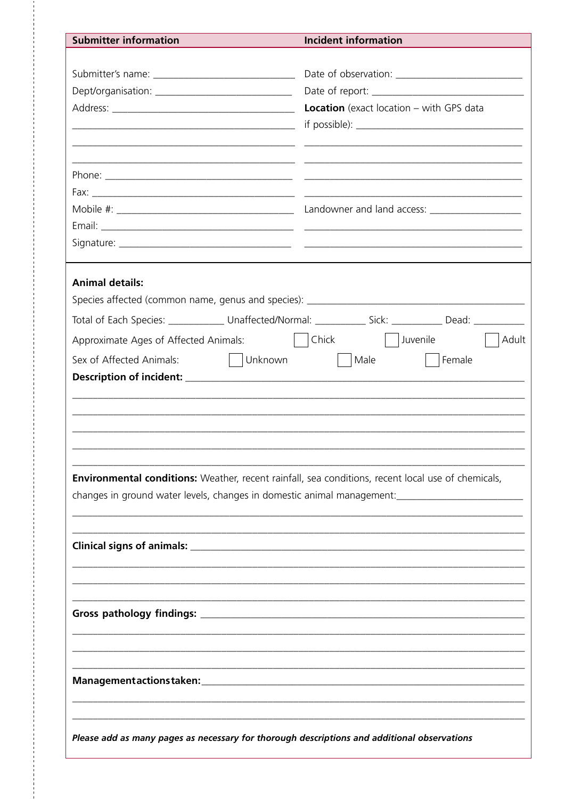| <b>Submitter information</b>                                                                                         | <b>Incident information</b>                                                                                   |
|----------------------------------------------------------------------------------------------------------------------|---------------------------------------------------------------------------------------------------------------|
|                                                                                                                      |                                                                                                               |
|                                                                                                                      |                                                                                                               |
| Dept/organisation: ______________________________                                                                    |                                                                                                               |
|                                                                                                                      | <b>Location</b> (exact location – with GPS data                                                               |
| <u> 2000 - 2000 - 2000 - 2000 - 2000 - 2000 - 2000 - 2000 - 2000 - 2000 - 2000 - 2000 - 2000 - 2000 - 2000 - 200</u> |                                                                                                               |
|                                                                                                                      |                                                                                                               |
|                                                                                                                      |                                                                                                               |
|                                                                                                                      |                                                                                                               |
|                                                                                                                      |                                                                                                               |
|                                                                                                                      |                                                                                                               |
| <b>Animal details:</b>                                                                                               |                                                                                                               |
|                                                                                                                      |                                                                                                               |
|                                                                                                                      | Total of Each Species: _______________ Unaffected/Normal: _____________ Sick: _____________ Dead: ___________ |
| Approximate Ages of Affected Animals:                                                                                | $\vert$ $\vert$ Chick<br>Juvenile<br>Adult<br><b>Contract Contract</b>                                        |
|                                                                                                                      |                                                                                                               |
| Sex of Affected Animals:<br>Unknown                                                                                  | Female<br>Male                                                                                                |
|                                                                                                                      |                                                                                                               |
|                                                                                                                      |                                                                                                               |
|                                                                                                                      |                                                                                                               |
|                                                                                                                      |                                                                                                               |
|                                                                                                                      |                                                                                                               |
|                                                                                                                      |                                                                                                               |
|                                                                                                                      | <b>Environmental conditions:</b> Weather, recent rainfall, sea conditions, recent local use of chemicals,     |
|                                                                                                                      | changes in ground water levels, changes in domestic animal management: _____________________________          |
|                                                                                                                      |                                                                                                               |
|                                                                                                                      |                                                                                                               |
|                                                                                                                      |                                                                                                               |
|                                                                                                                      |                                                                                                               |
|                                                                                                                      |                                                                                                               |
|                                                                                                                      |                                                                                                               |
|                                                                                                                      |                                                                                                               |
|                                                                                                                      |                                                                                                               |
|                                                                                                                      |                                                                                                               |
|                                                                                                                      |                                                                                                               |
|                                                                                                                      |                                                                                                               |
|                                                                                                                      |                                                                                                               |
|                                                                                                                      | Please add as many pages as necessary for thorough descriptions and additional observations                   |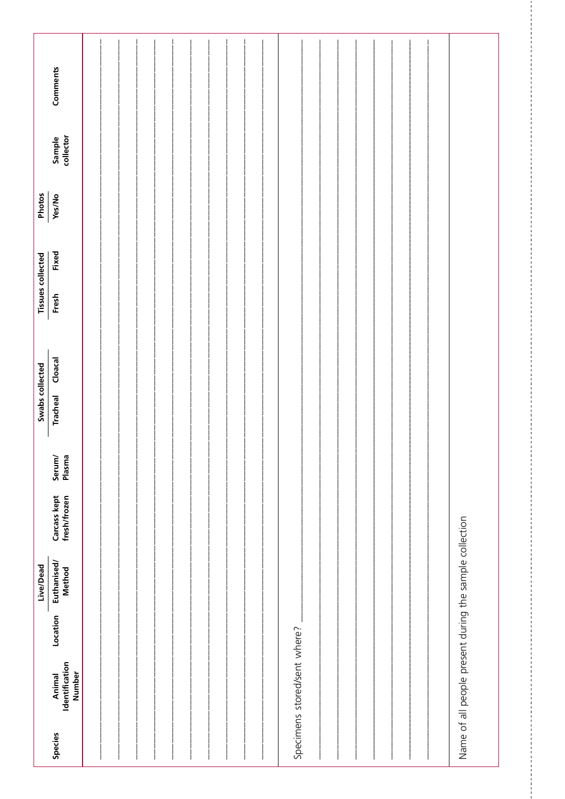|         |                                                         |          | Live/Dead             |                              |                  | Swabs collected |               | <b>Tissues collected</b> |       | Photos |                     |          |
|---------|---------------------------------------------------------|----------|-----------------------|------------------------------|------------------|-----------------|---------------|--------------------------|-------|--------|---------------------|----------|
| Species | Identification<br>Number<br>Animal                      | Location | Euthanised/<br>Method | Carcass kept<br>fresh/frozen | Serum/<br>Plasma | <b>Tracheal</b> | J.<br>Cloacal | Fresh                    | Fixed | Yes/No | Sample<br>collector | Comments |
|         |                                                         |          |                       |                              |                  |                 |               |                          |       |        |                     |          |
|         |                                                         |          |                       |                              |                  |                 |               |                          |       |        |                     |          |
|         |                                                         |          |                       |                              |                  |                 |               |                          |       |        |                     |          |
|         |                                                         |          |                       |                              |                  |                 |               |                          |       |        |                     |          |
|         |                                                         |          |                       |                              |                  |                 |               |                          |       |        |                     |          |
|         |                                                         |          |                       |                              |                  |                 |               |                          |       |        |                     |          |
|         |                                                         |          |                       |                              |                  |                 |               |                          |       |        |                     |          |
|         |                                                         |          |                       |                              |                  |                 |               |                          |       |        |                     |          |
|         |                                                         |          |                       |                              |                  |                 |               |                          |       |        |                     |          |
|         |                                                         |          |                       |                              |                  |                 |               |                          |       |        |                     |          |
|         |                                                         |          |                       |                              |                  |                 |               |                          |       |        |                     |          |
|         | Specimens stored/sent where?                            |          |                       |                              |                  |                 |               |                          |       |        |                     |          |
|         |                                                         |          |                       |                              |                  |                 |               |                          |       |        |                     |          |
|         |                                                         |          |                       |                              |                  |                 |               |                          |       |        |                     |          |
|         |                                                         |          |                       |                              |                  |                 |               |                          |       |        |                     |          |
|         |                                                         |          |                       |                              |                  |                 |               |                          |       |        |                     |          |
|         |                                                         |          |                       |                              |                  |                 |               |                          |       |        |                     |          |
|         |                                                         |          |                       |                              |                  |                 |               |                          |       |        |                     |          |
|         |                                                         |          |                       |                              |                  |                 |               |                          |       |        |                     |          |
|         |                                                         |          |                       |                              |                  |                 |               |                          |       |        |                     |          |
|         | Name of all people present during the sample collection |          |                       |                              |                  |                 |               |                          |       |        |                     |          |
|         |                                                         |          |                       |                              |                  |                 |               |                          |       |        |                     |          |